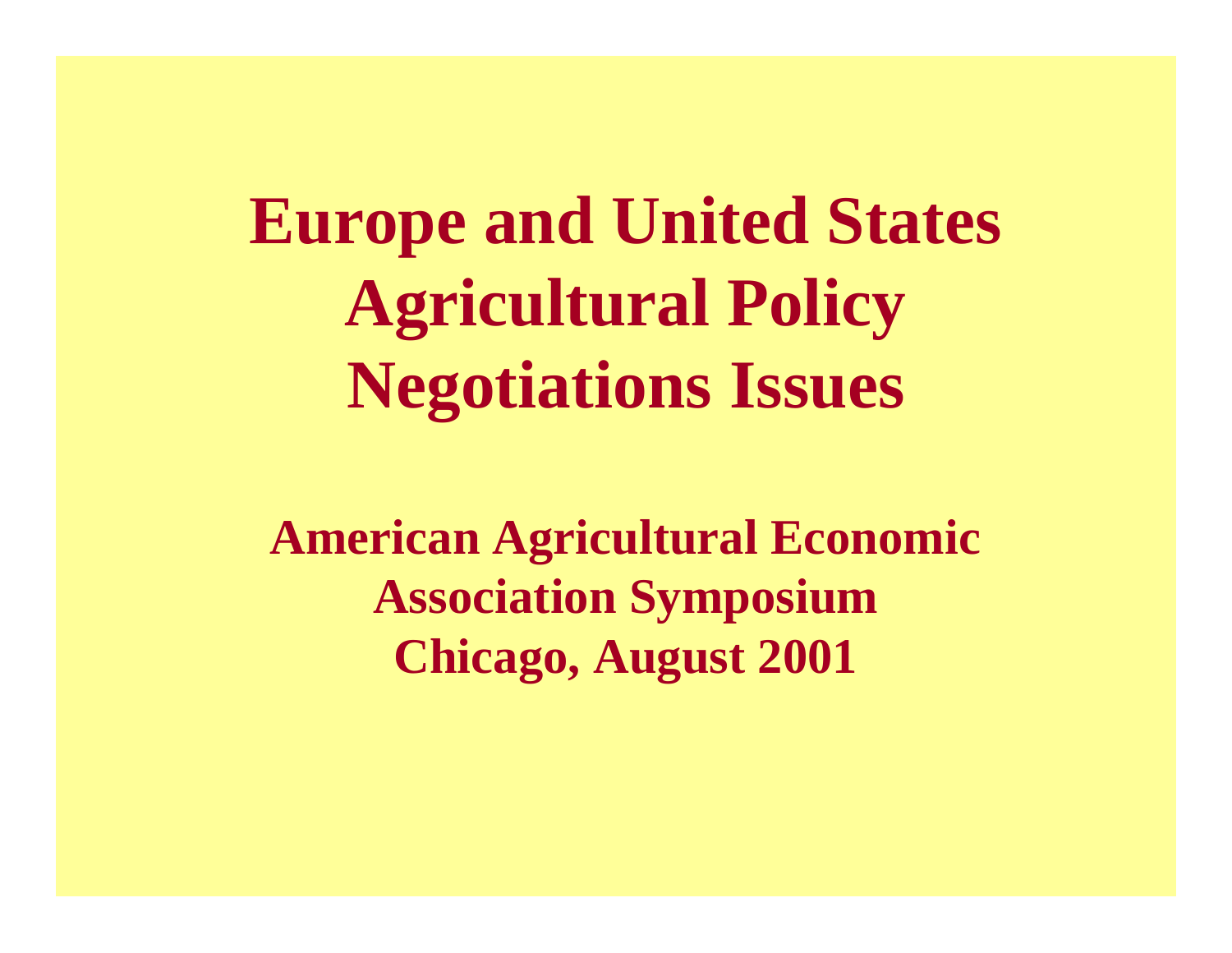**Europe and United States Agricultural Policy Negotiations Issues**

**American Agricultural Economic Association Symposium Chicago, August 2001**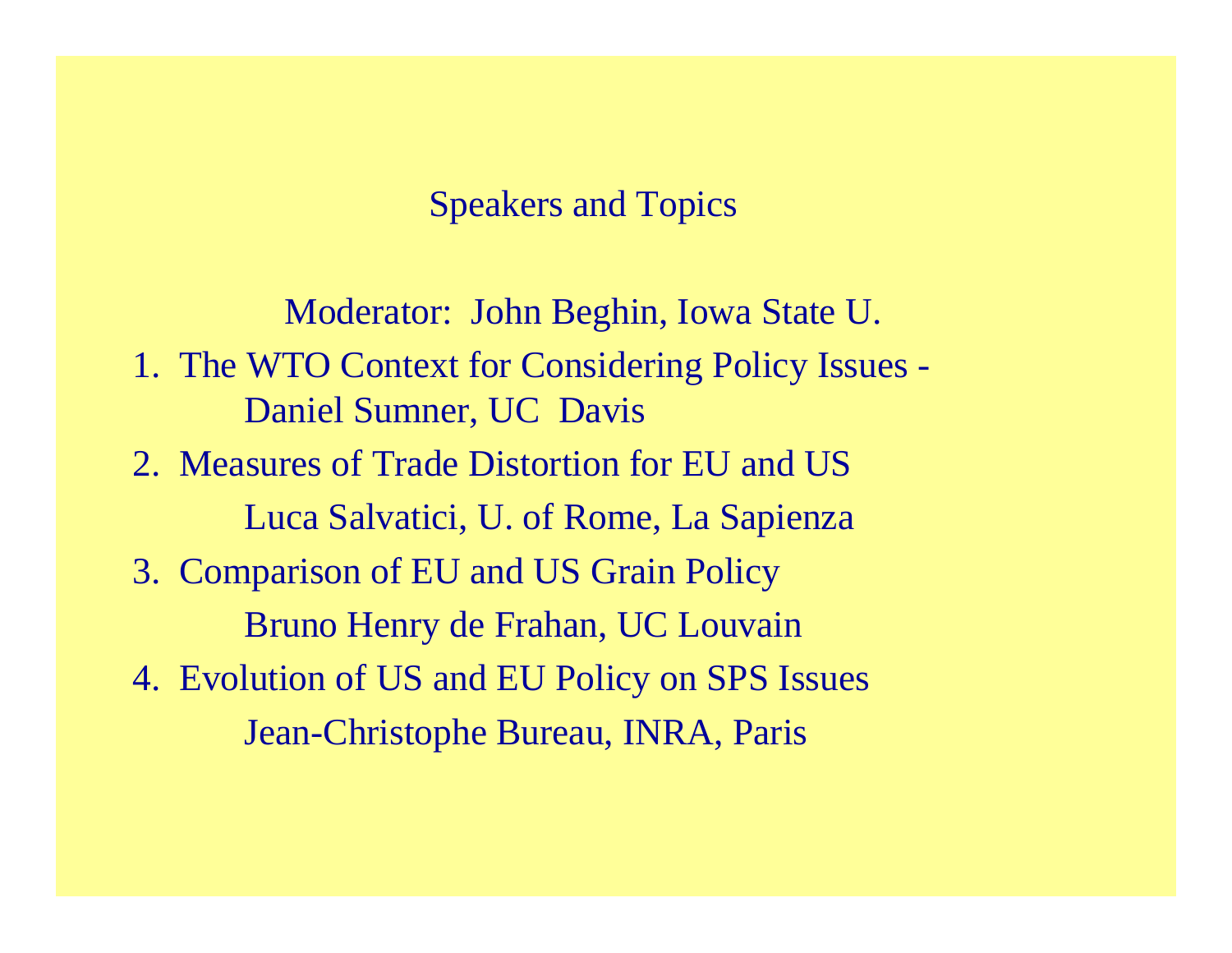#### Speakers and Topics

Moderator: John Beghin, Iowa State U. 1. The WTO Context for Considering Policy Issues - Daniel Sumner, UC Davis 2. Measures of Trade Distortion for EU and US Luca Salvatici, U. of Rome, La Sapienza 3. Comparison of EU and US Grain Policy Bruno Henry de Frahan, UC Louvain 4. Evolution of US and EU Policy on SPS Issues Jean-Christophe Bureau, INRA, Paris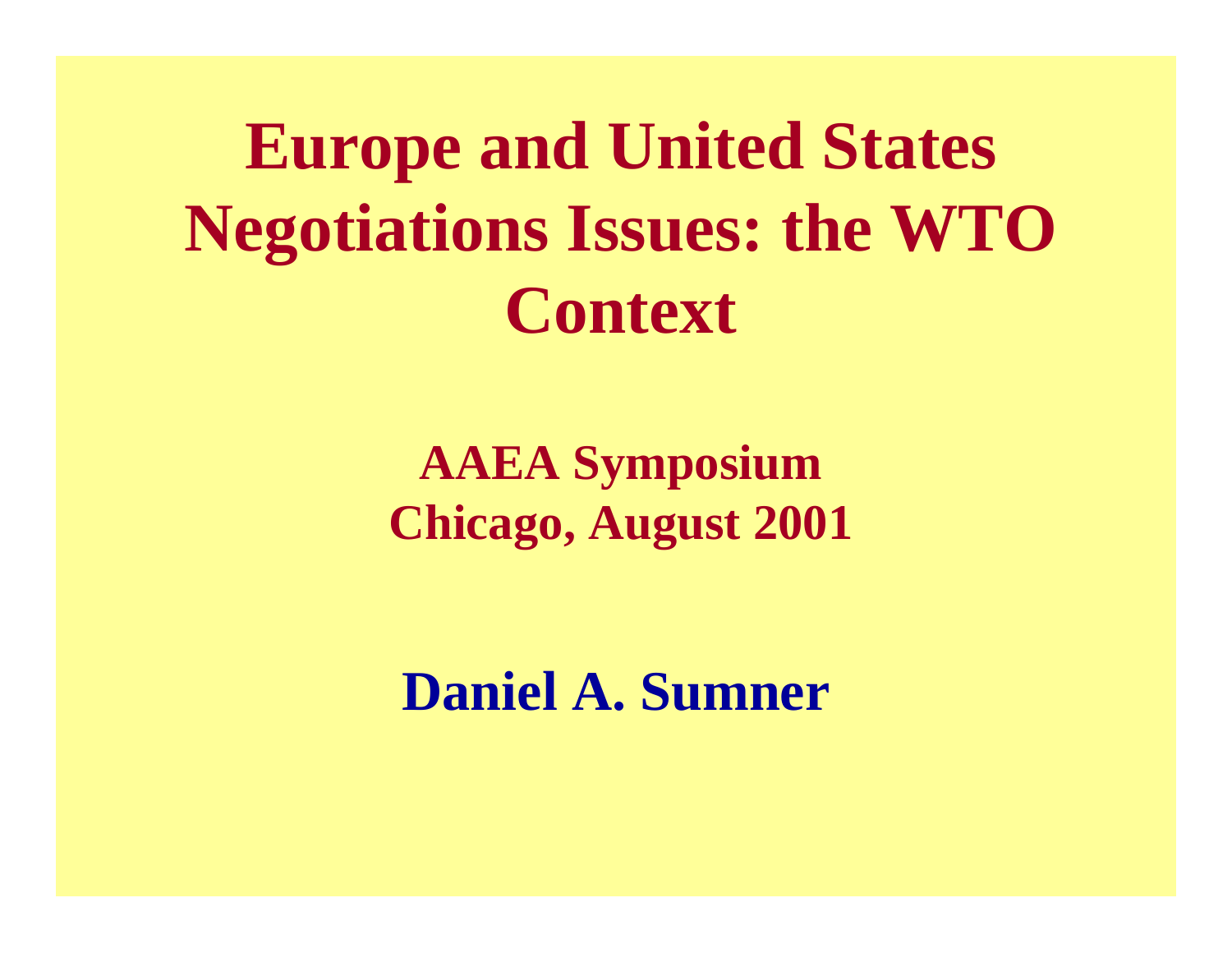**Europe and United States Negotiations Issues: the WTO Context**

> **AAEA Symposium Chicago, August 2001**

**Daniel A. Sumner**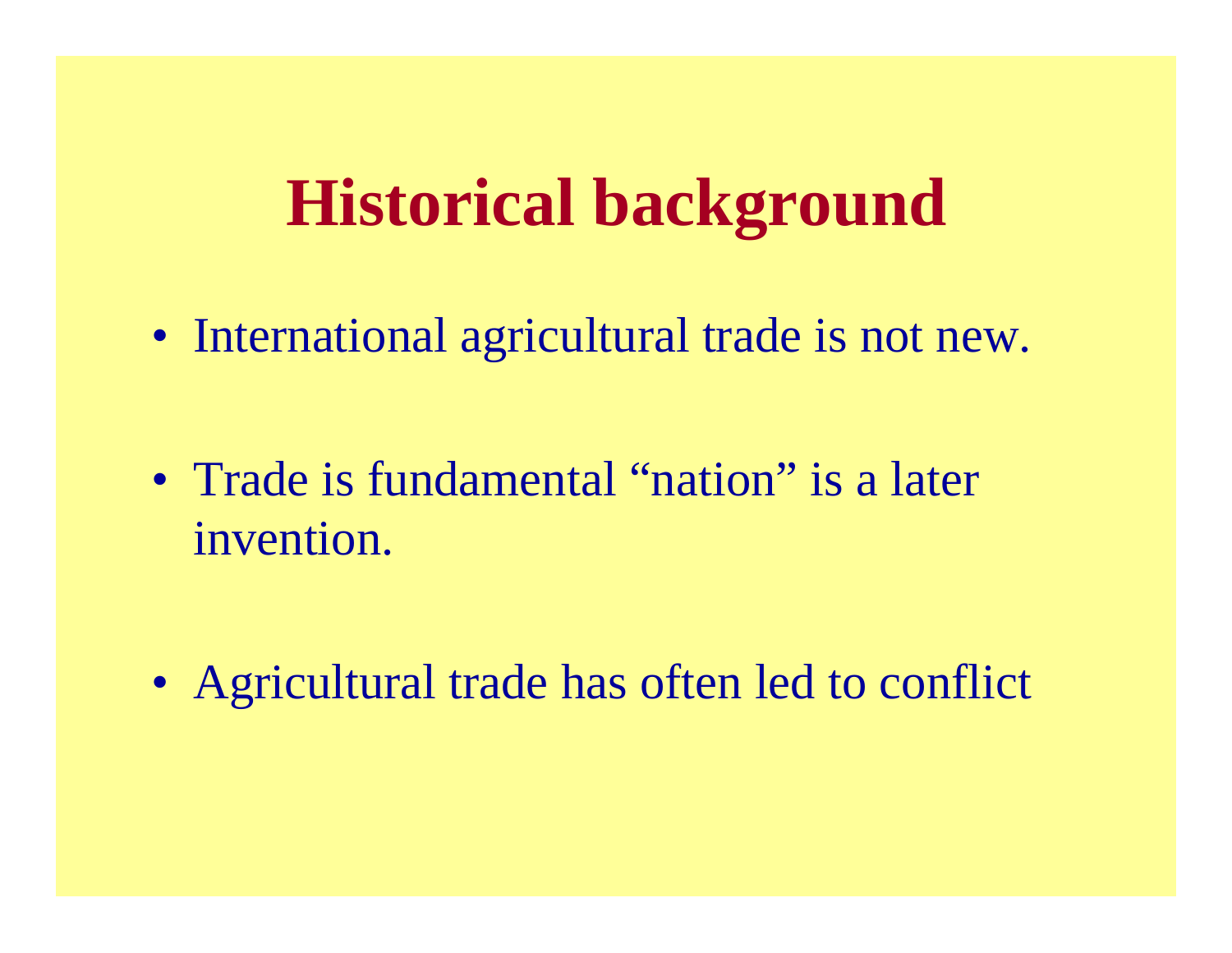## **Historical background**

- International agricultural trade is not new.
- Trade is fundamental "nation" is a later invention.
- Agricultural trade has often led to conflict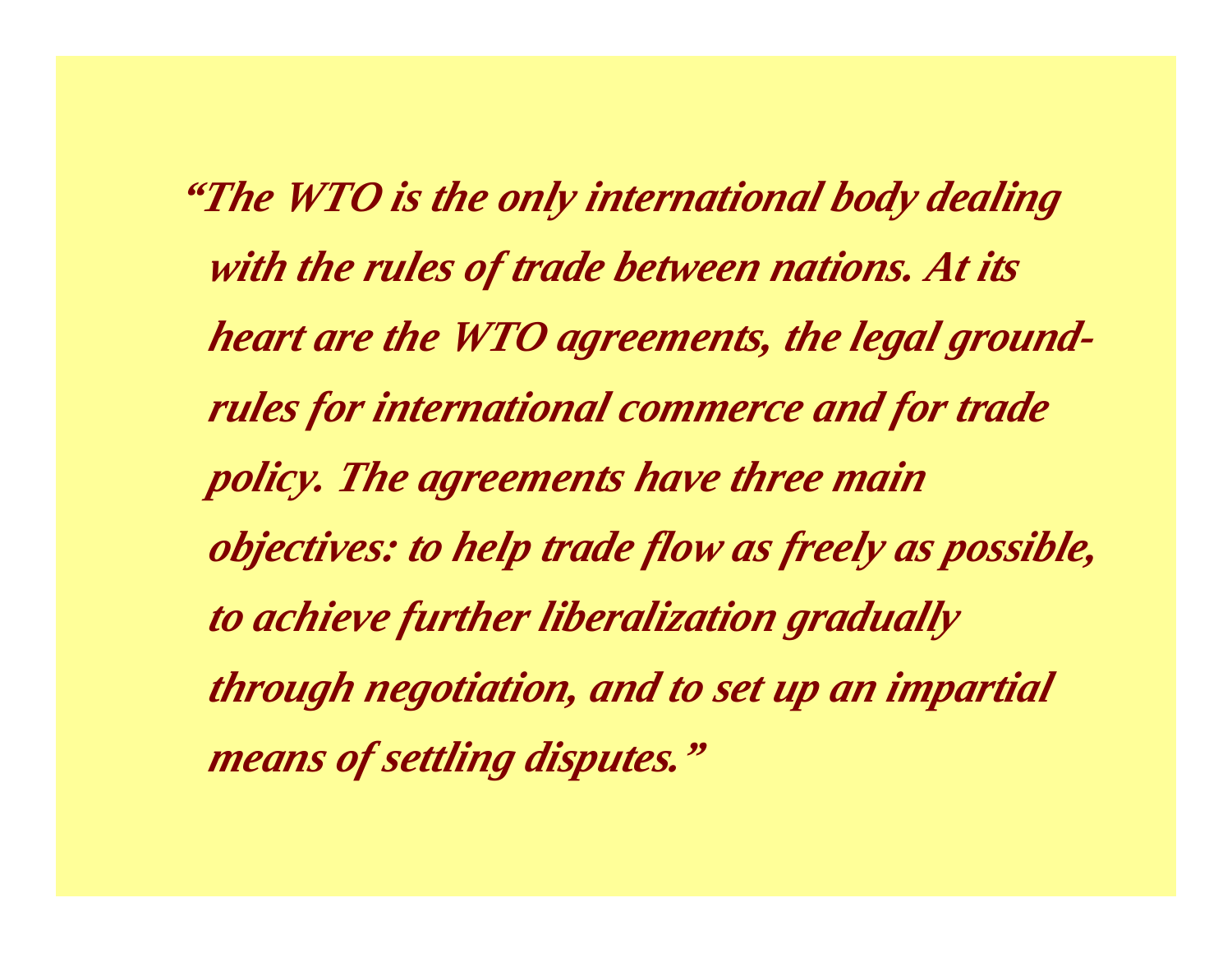*"The WTO is the only international body dealing with the rules of trade between nations. At its heart are the WTO agreements, the legal groundrules for international commerce and for trade policy. The agreements have three main objectives: to help trade flow as freely as possible, to achieve further liberalization gradually through negotiation, and to set up an impartial means of settling disputes."*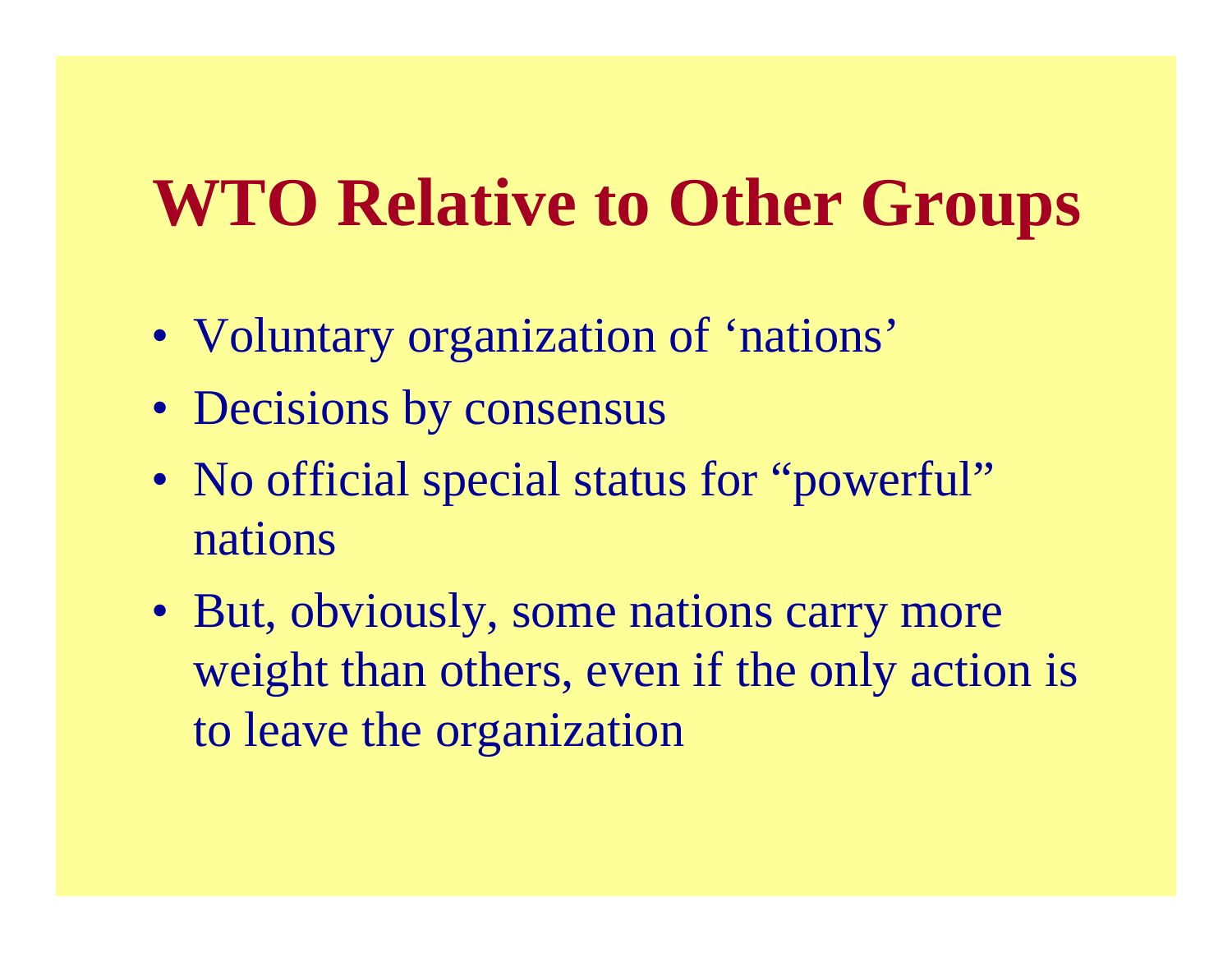## **WTO Relative to Other Groups**

- Voluntary organization of 'nations'
- Decisions by consensus
- No official special status for "powerful" nations
- But, obviously, some nations carry more weight than others, even if the only action is to leave the organization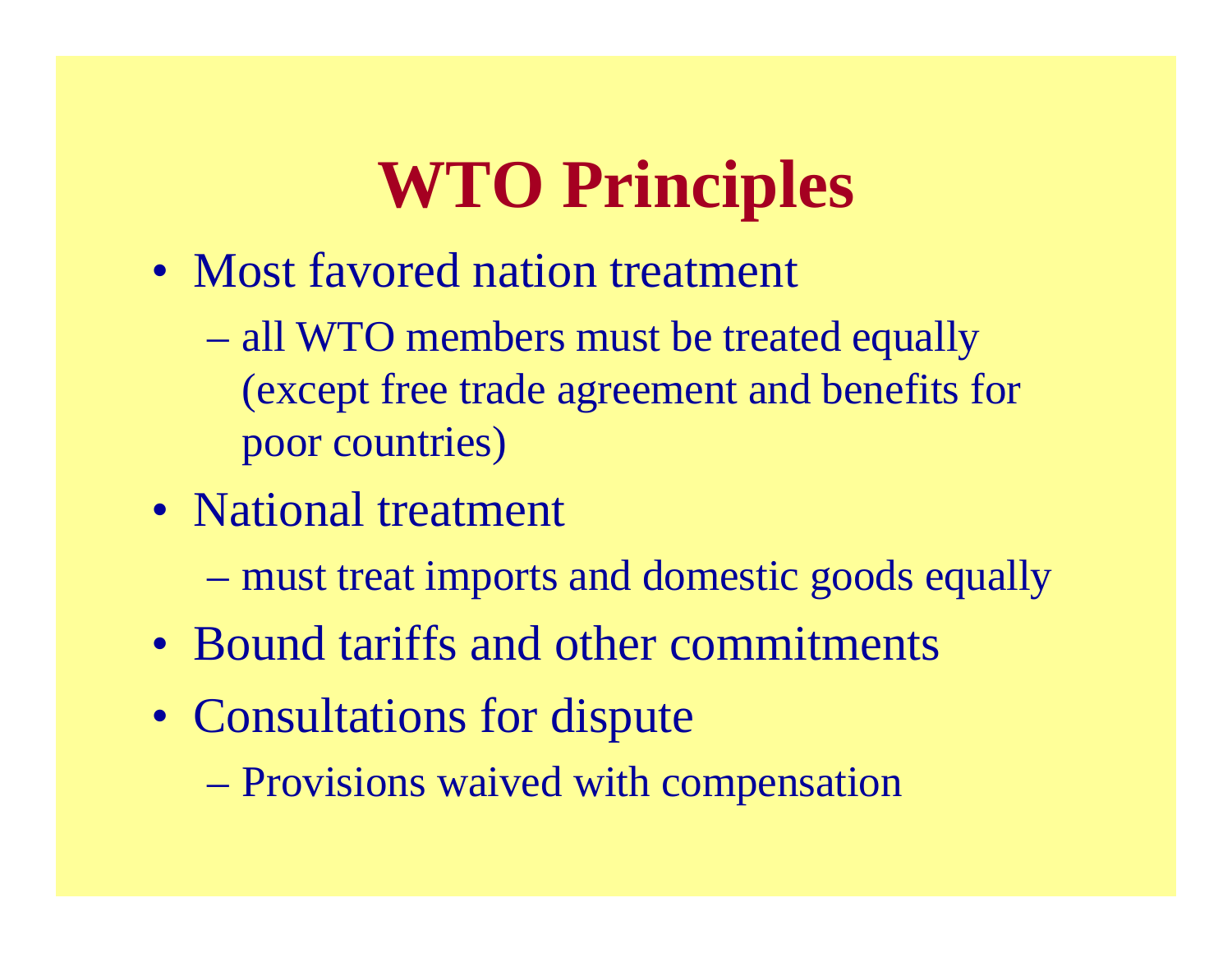## **WTO Principles**

- Most favored nation treatment
	- all WTO members must be treated equally (except free trade agreement and benefits for poor countries)
- National treatment
	- must treat imports and domestic goods equally
- Bound tariffs and other commitments
- Consultations for dispute
	- Provisions waived with compensation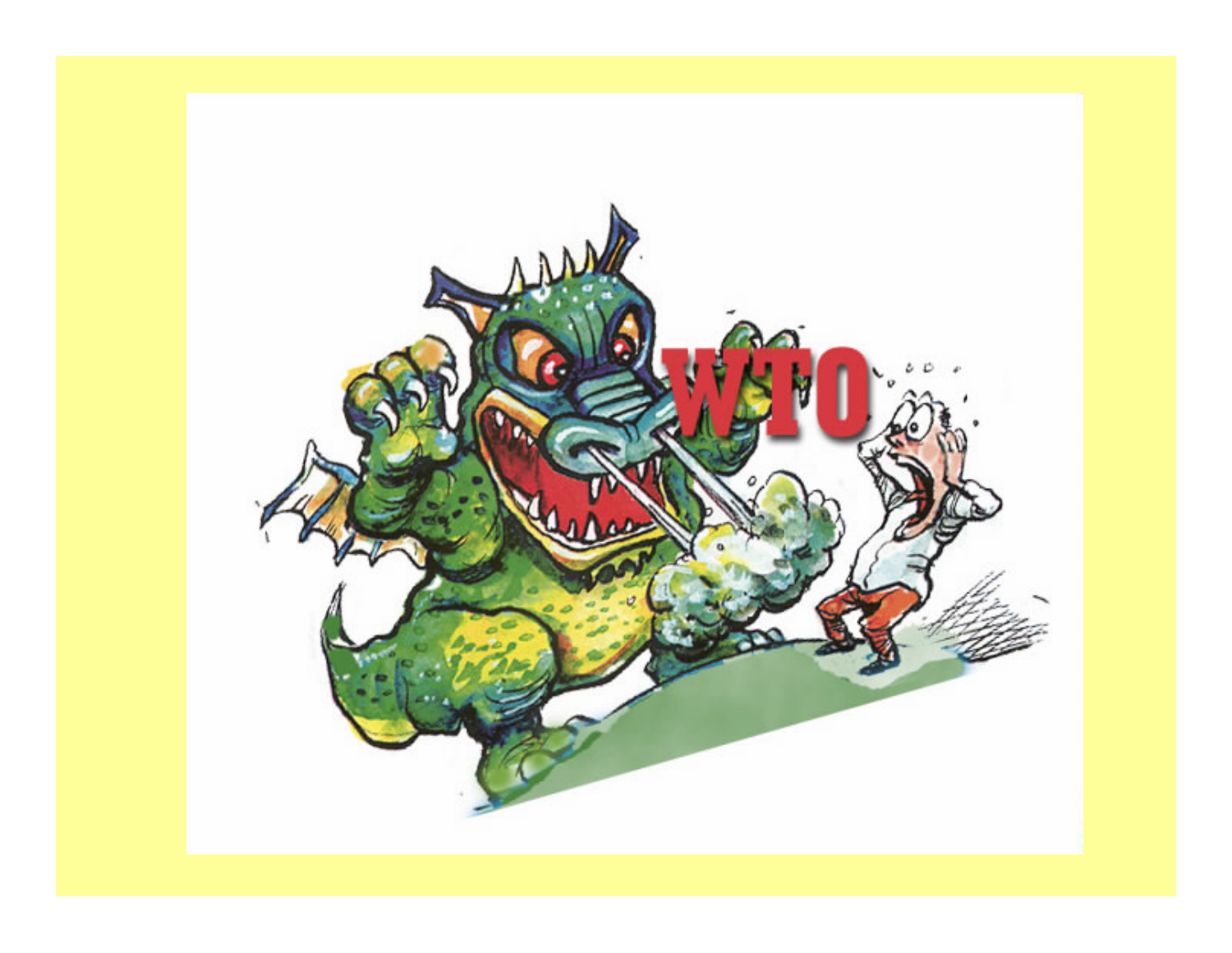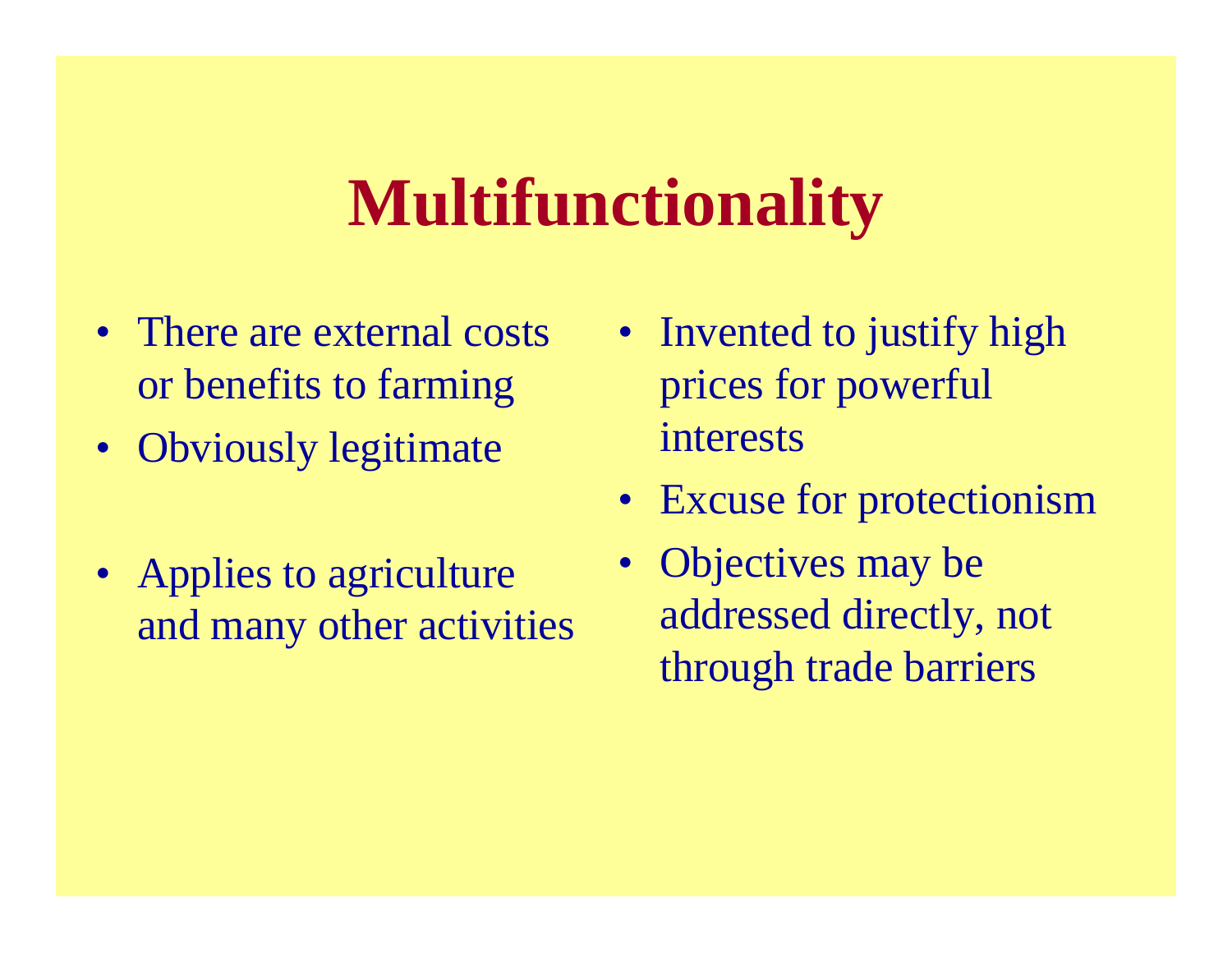## **Multifunctionality**

- There are external costs or benefits to farming
- Obviously legitimate
- Applies to agriculture and many other activities
- Invented to justify high prices for powerful interests
- Excuse for protectionism
- Objectives may be addressed directly, not through trade barriers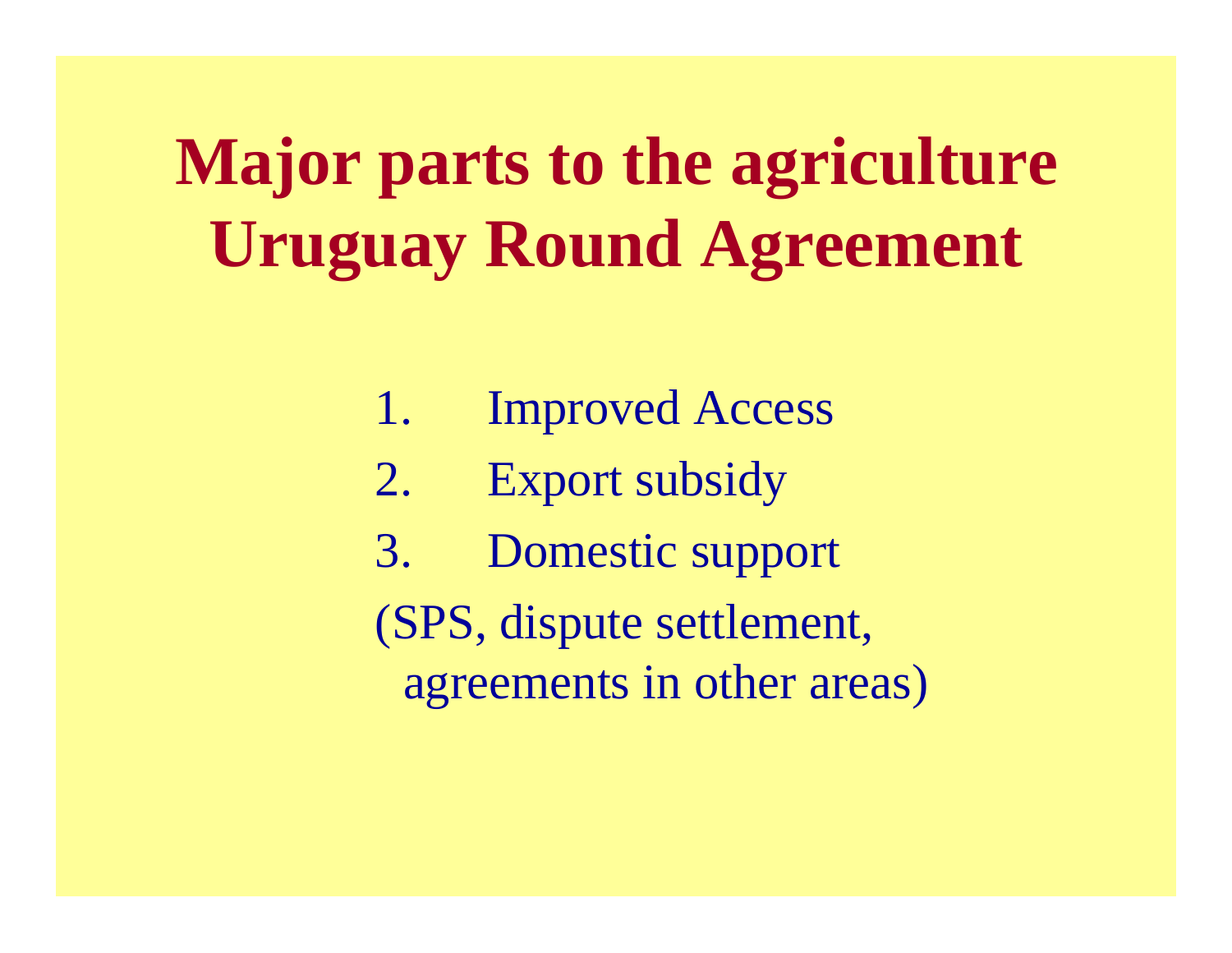# **Major parts to the agriculture Uruguay Round Agreement**

- 1. Improved Access
- 2. Export subsidy
- 3. Domestic support
- (SPS, dispute settlement, agreements in other areas)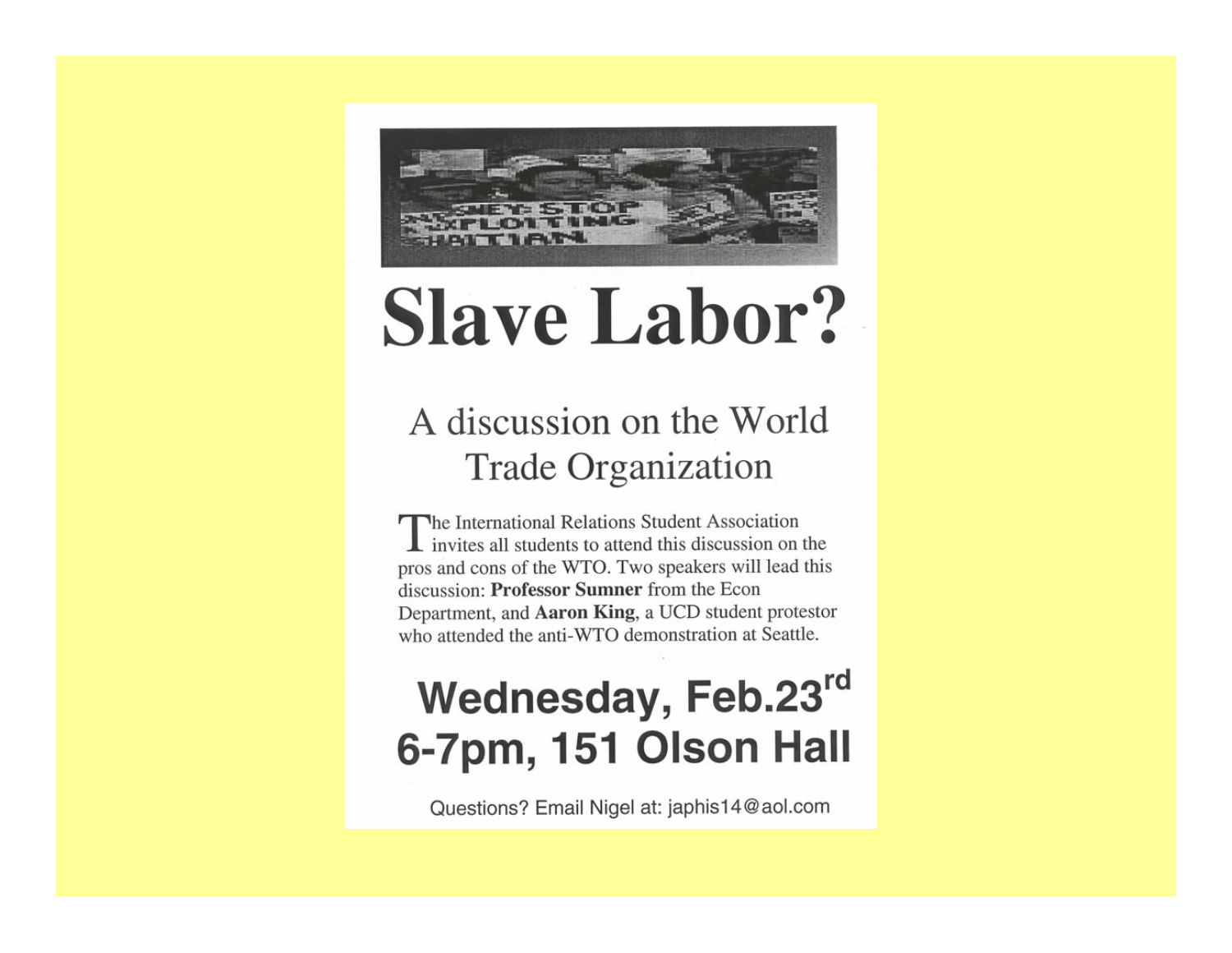

# **Slave Labor?**

#### A discussion on the World **Trade Organization**

The International Relations Student Association **1** invites all students to attend this discussion on the pros and cons of the WTO. Two speakers will lead this discussion: Professor Sumner from the Econ Department, and Aaron King, a UCD student protestor who attended the anti-WTO demonstration at Seattle.

### Wednesday, Feb.23rd 6-7pm, 151 Olson Hall

Questions? Email Nigel at: japhis14@aol.com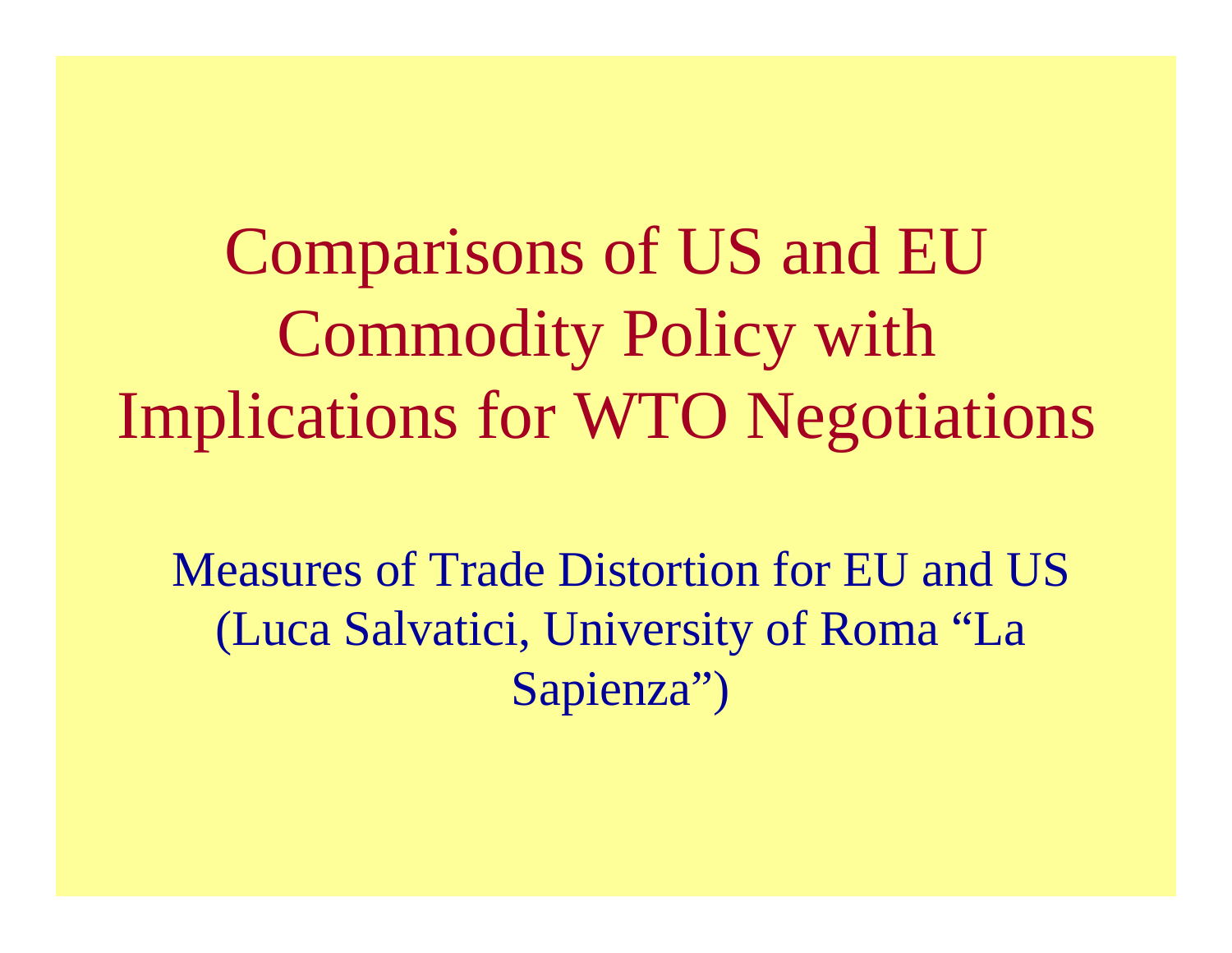Comparisons of US and EU Commodity Policy with Implications for WTO Negotiations

Measures of Trade Distortion for EU and US (Luca Salvatici, University of Roma "La Sapienza")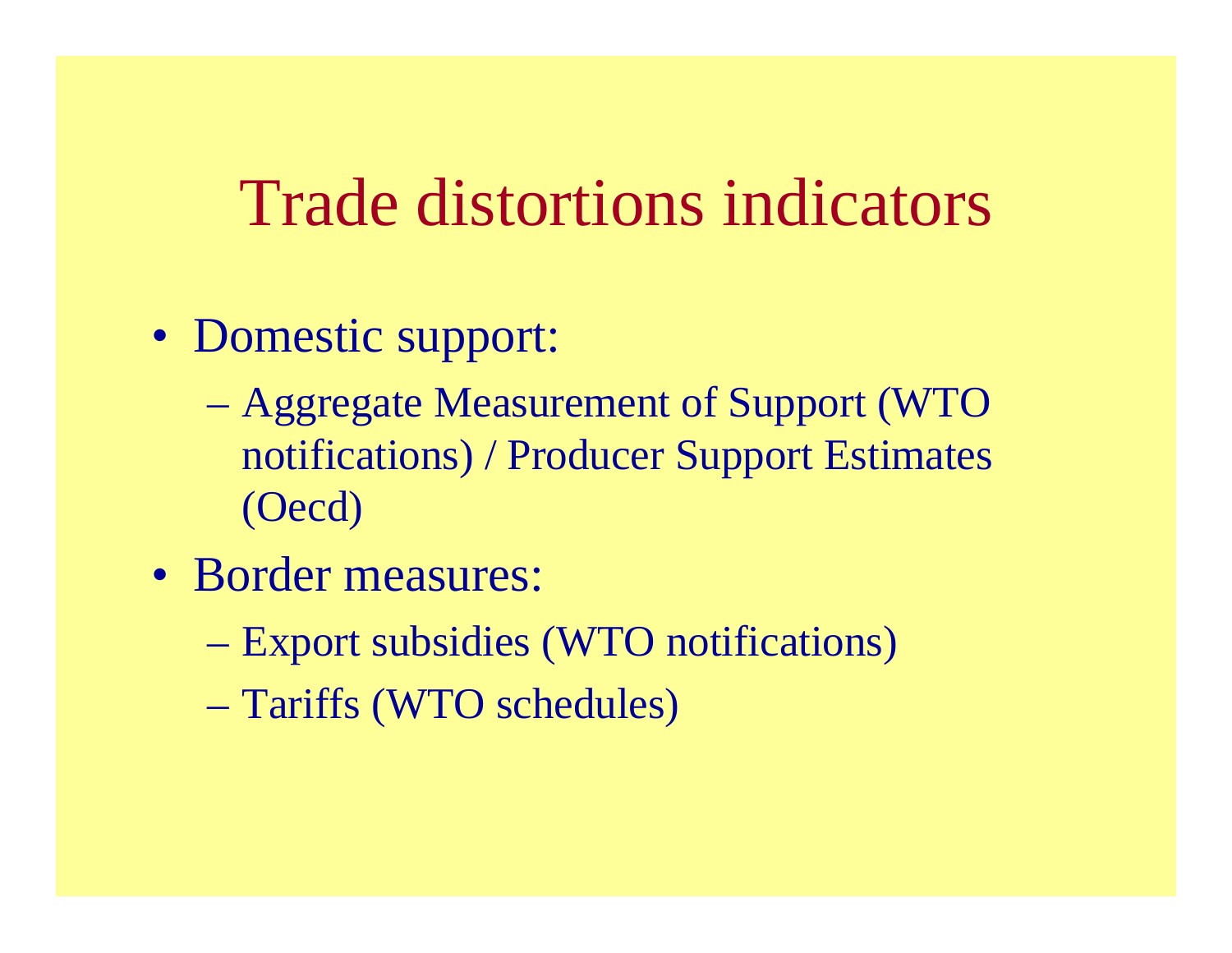## Trade distortions indicators

- Domestic support:
	- Aggregate Measurement of Support (WTO notifications) / Producer Support Estimates (Oecd)
- Border measures:
	- Export subsidies (WTO notifications)
	- Tariffs (WTO schedules)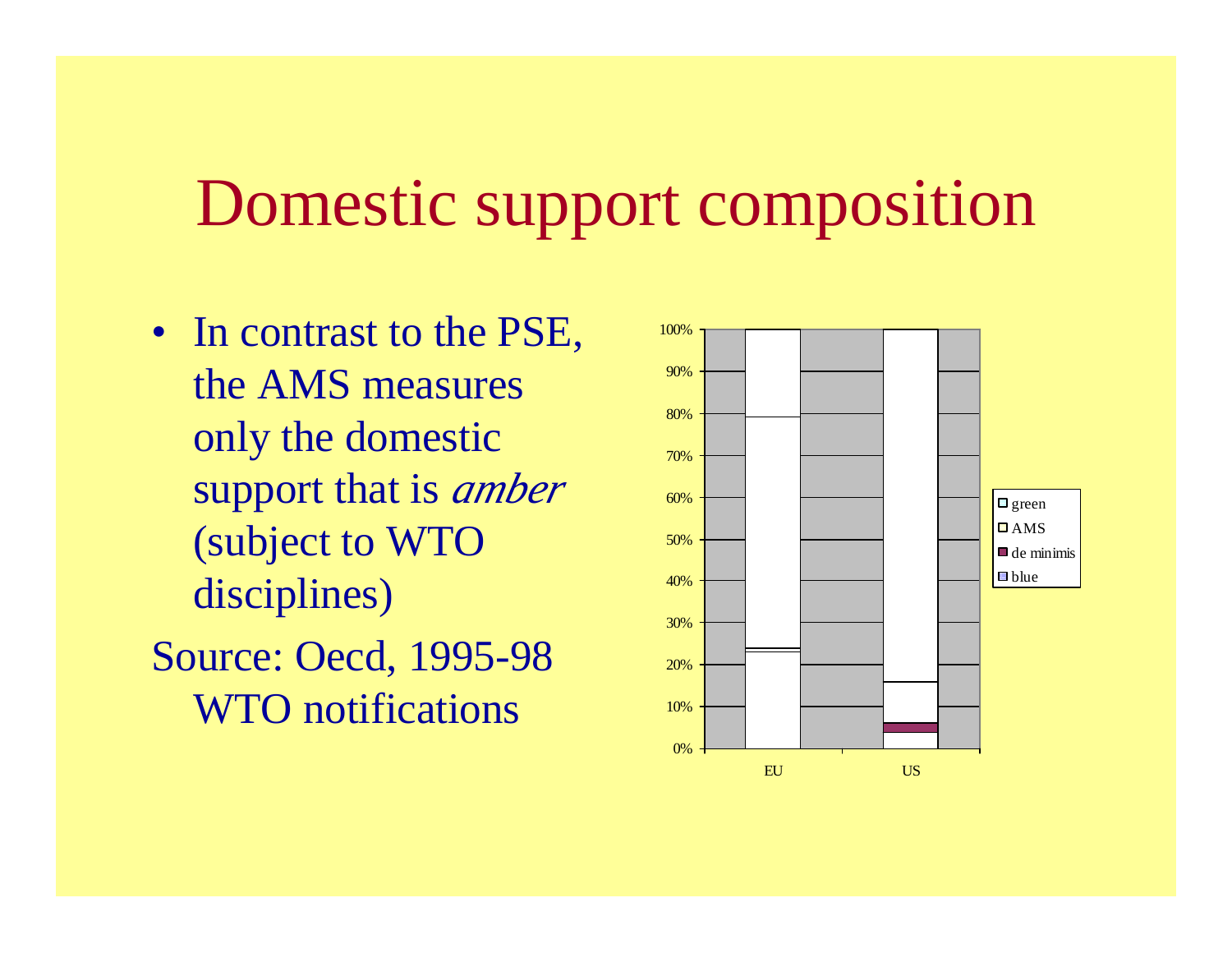### Domestic support composition

• In contrast to the PSE, the AMS measures only the domestic support that is *amber*  (subject to WTO disciplines) Source: Oecd, 1995-98 WTO notifications

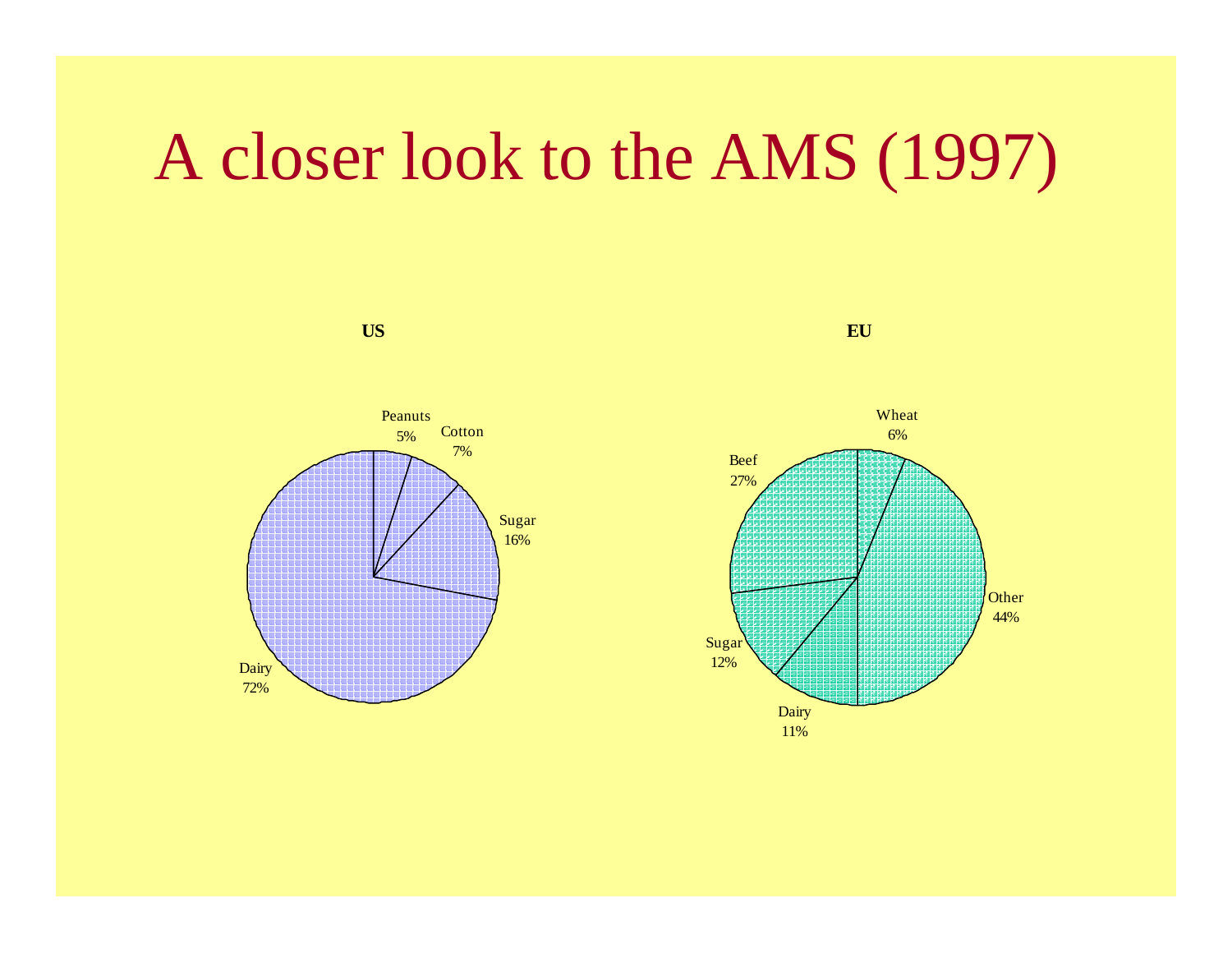## A closer look to the AMS (1997)

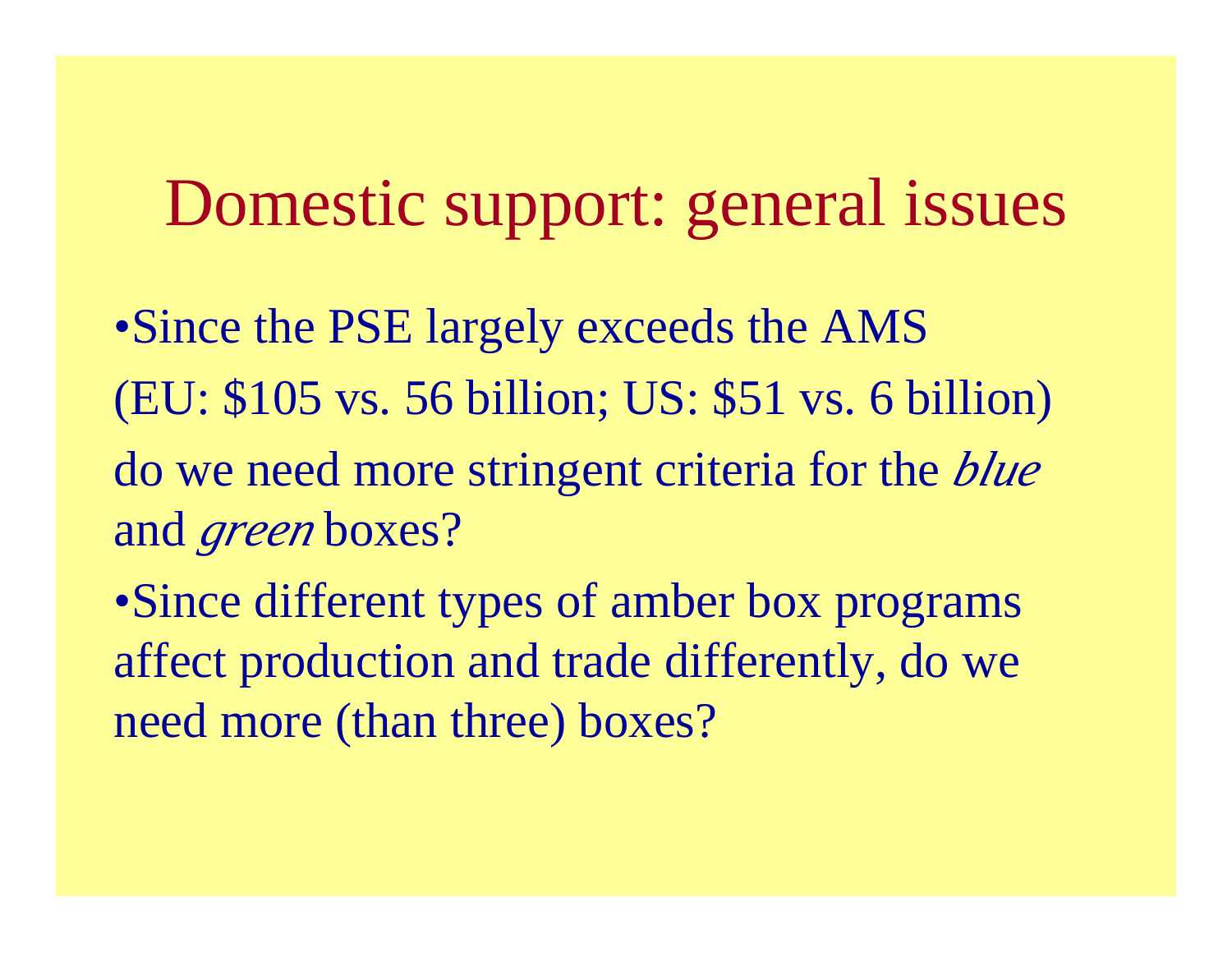### Domestic support: general issues

•Since the PSE largely exceeds the AMS (EU: \$105 vs. 56 billion; US: \$51 vs. 6 billion) do we need more stringent criteria for the *blue* and *green* boxes?

•Since different types of amber box programs affect production and trade differently, do we need more (than three) boxes?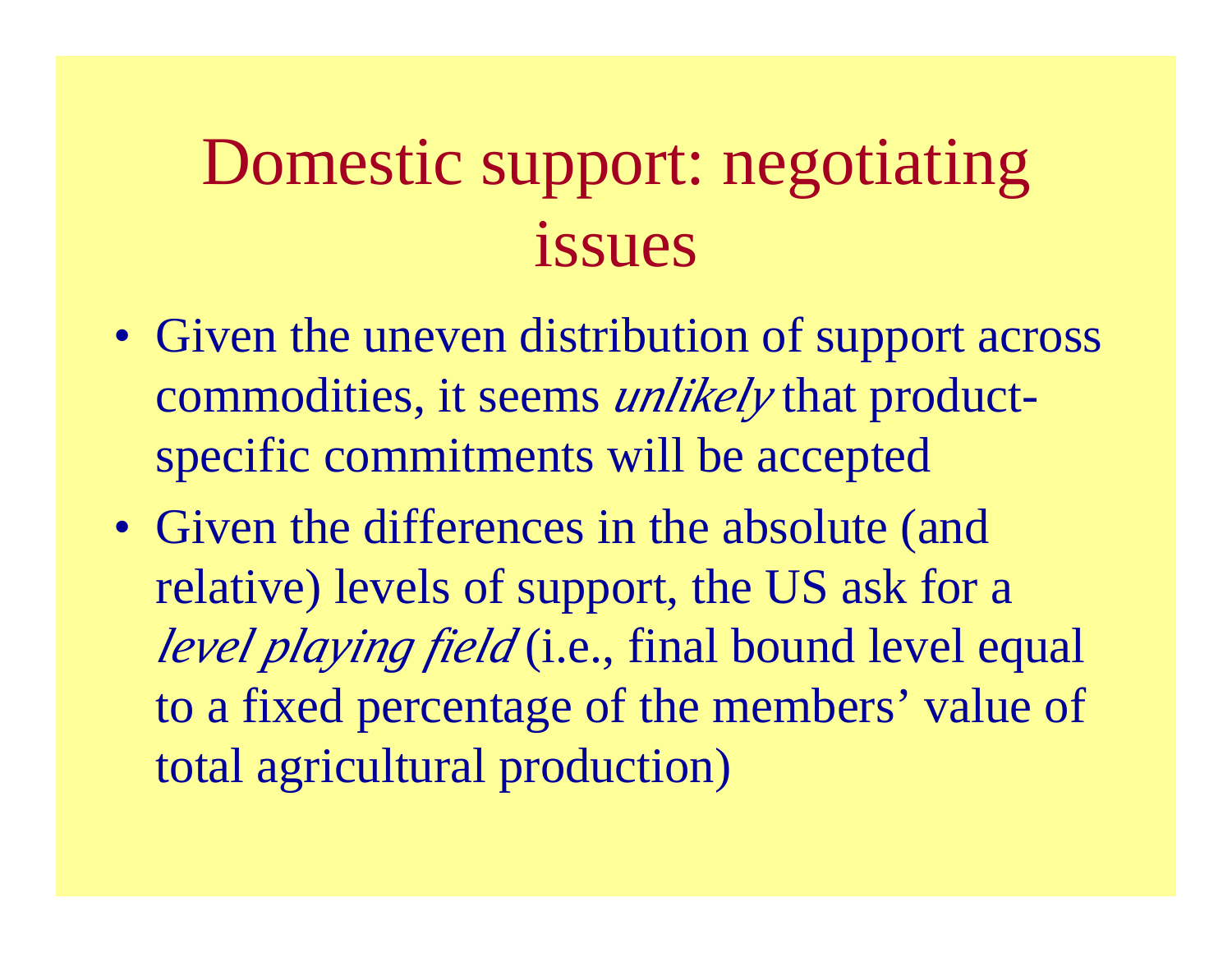## Domestic support: negotiating issues

- Given the uneven distribution of support across commodities, it seems *unlikely* that productspecific commitments will be accepted
- Given the differences in the absolute (and relative) levels of support, the US ask for a *level playing field* (i.e., final bound level equal to a fixed percentage of the members' value of total agricultural production)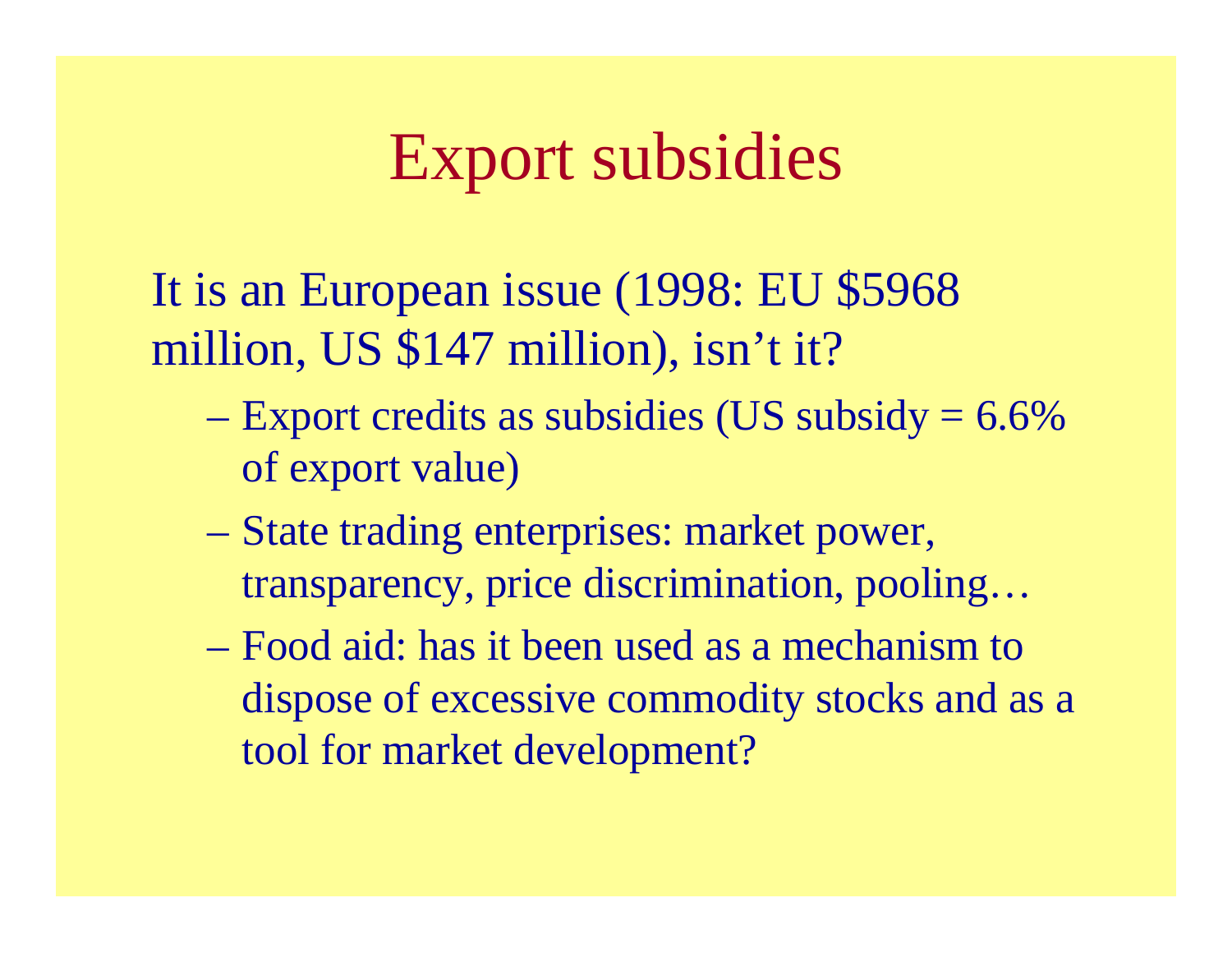## Export subsidies

It is an European issue (1998: EU \$5968 million, US \$147 million), isn't it?

- $-$  Export credits as subsidies (US subsidy  $= 6.6\%$ of export value)
- State trading enterprises: market power, transparency, price discrimination, pooling…
- Food aid: has it been used as a mechanism to dispose of excessive commodity stocks and as a tool for market development?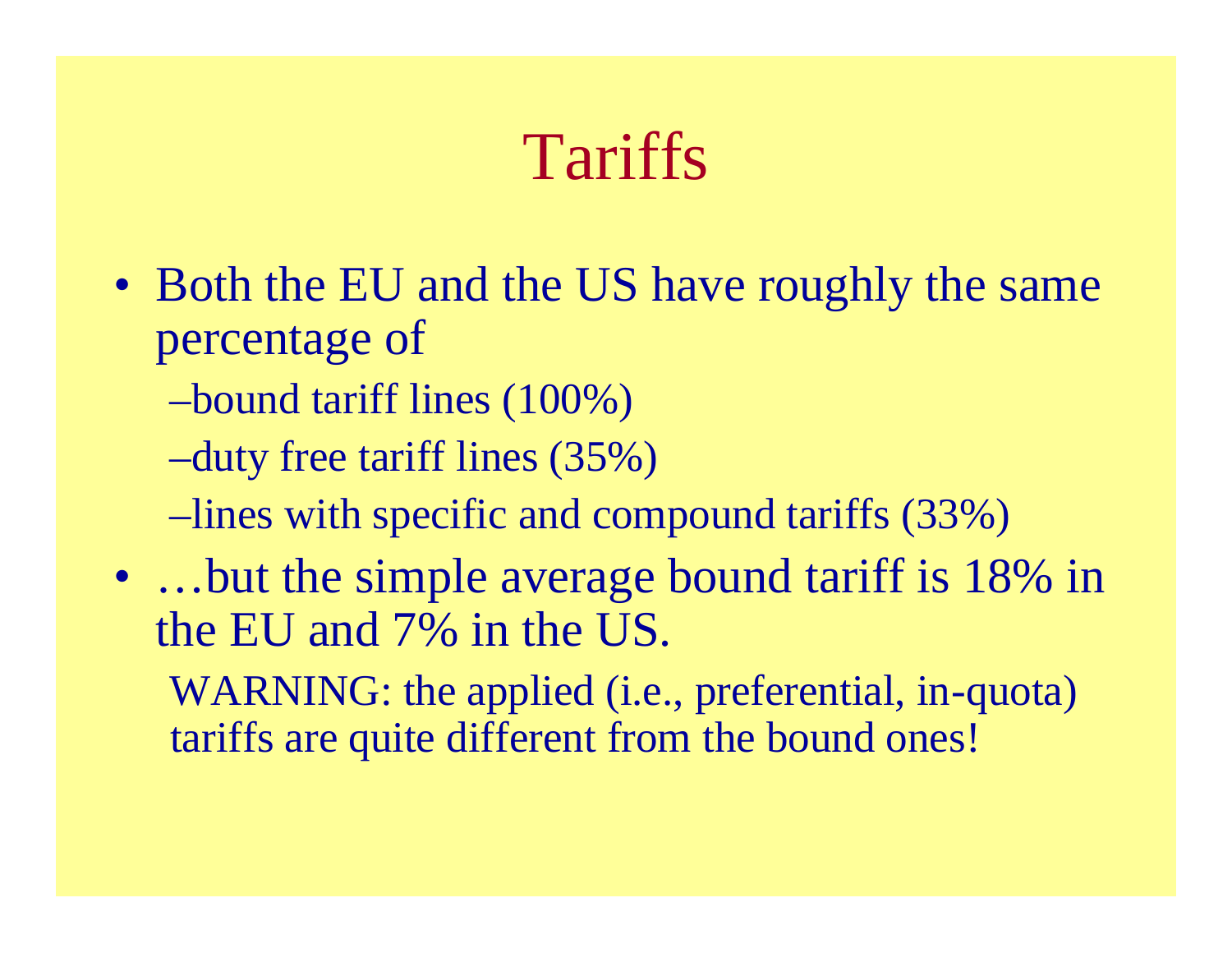## **Tariffs**

- Both the EU and the US have roughly the same percentage of
	- –bound tariff lines (100%)
	- –duty free tariff lines (35%)
	- –lines with specific and compound tariffs (33%)
- ... but the simple average bound tariff is 18% in the EU and 7% in the US.

WARNING: the applied (i.e., preferential, in-quota) tariffs are quite different from the bound ones!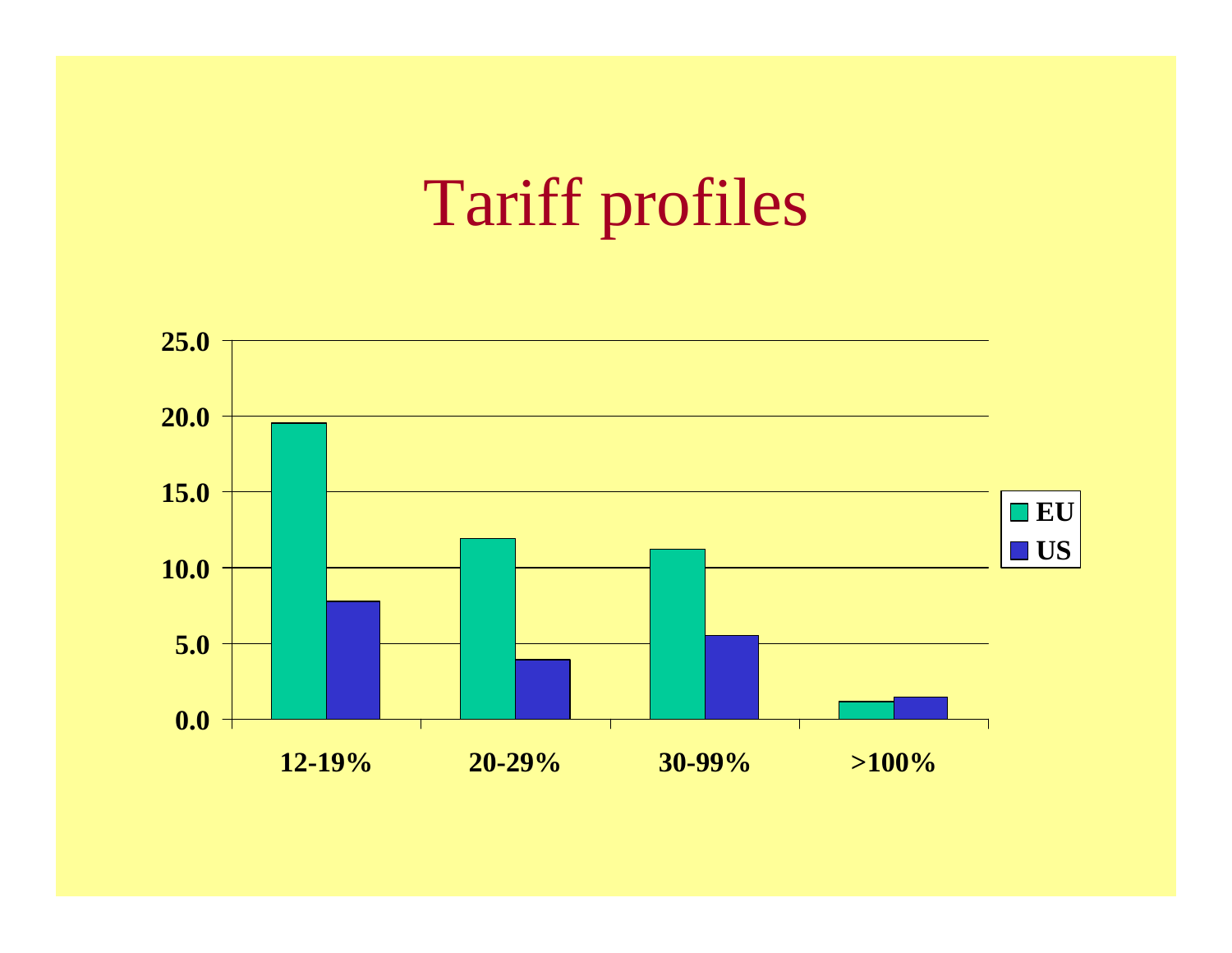## Tariff profiles

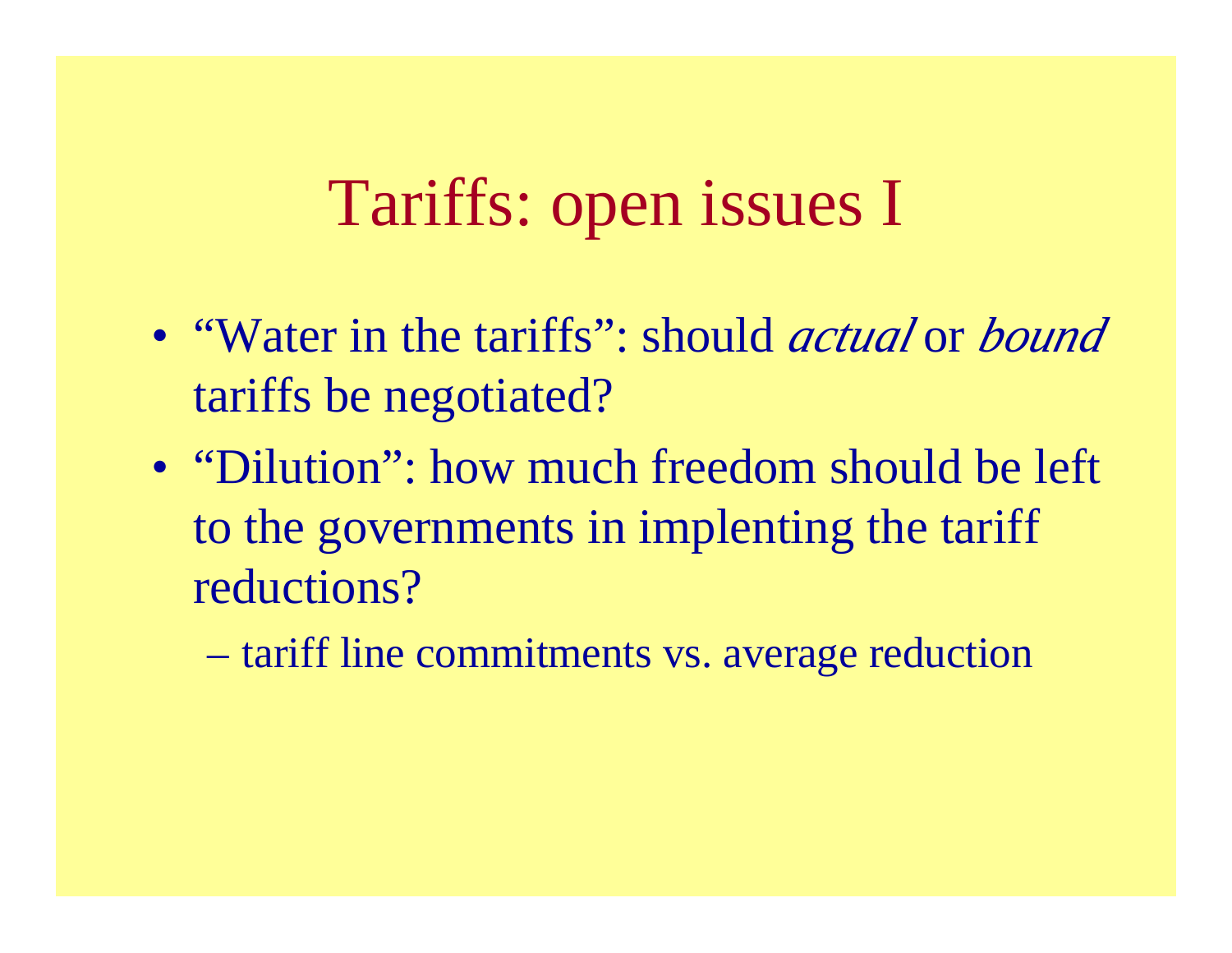## Tariffs: open issues I

- "Water in the tariffs": should *actual* or *bound* tariffs be negotiated?
- "Dilution": how much freedom should be left to the governments in implenting the tariff reductions?
	- tariff line commitments vs. average reduction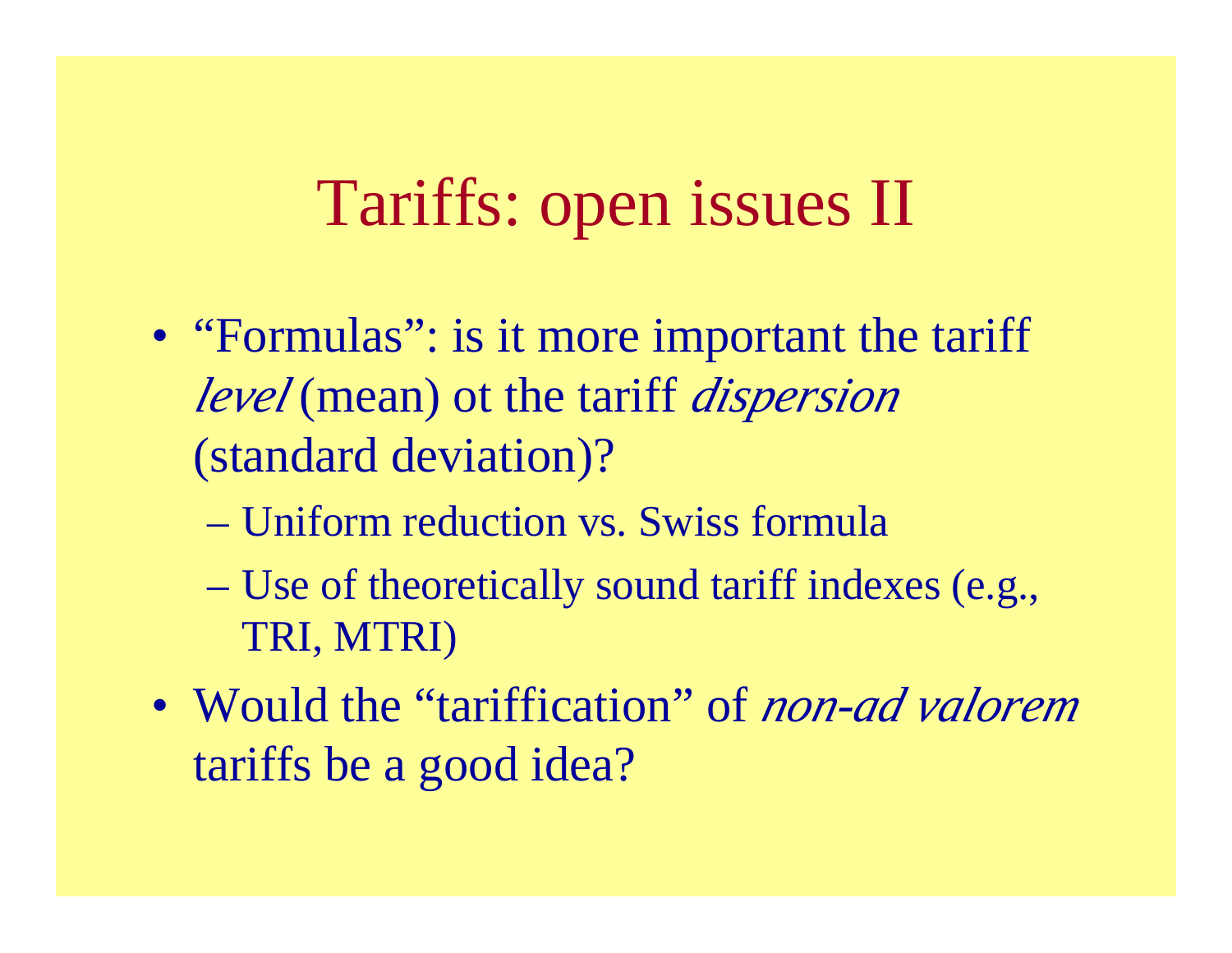## Tariffs: open issues II

- "Formulas": is it more important the tariff *level* (mean) ot the tariff *dispersion* (standard deviation)?
	- Uniform reduction vs. Swiss formula
	- Use of theoretically sound tariff indexes (e.g., TRI, MTRI)
- Would the "tariffication" of *non-ad valorem* tariffs be a good idea?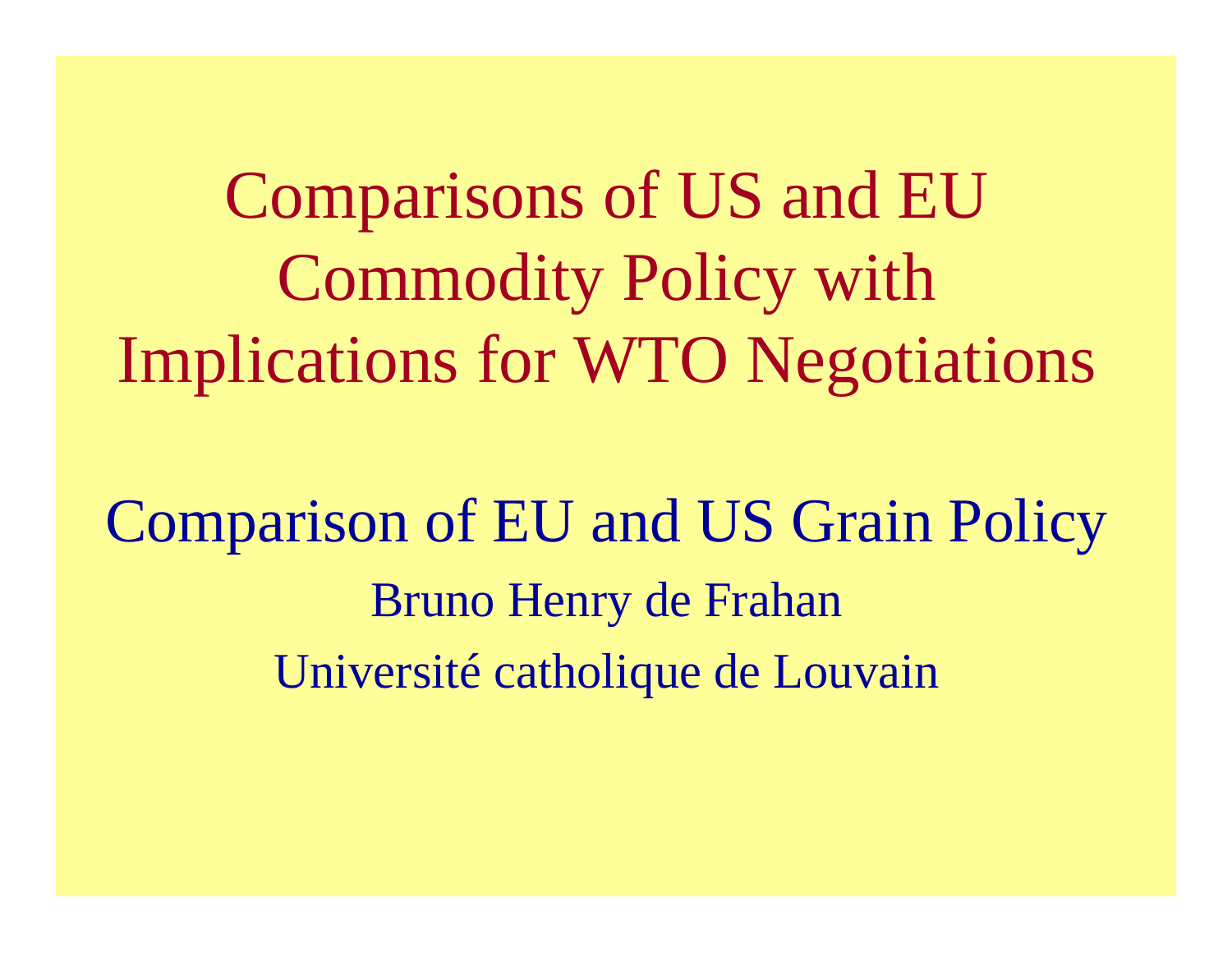Comparisons of US and EU Commodity Policy with Implications for WTO Negotiations

Comparison of EU and US Grain Policy Bruno Henry de Frahan Université catholique de Louvain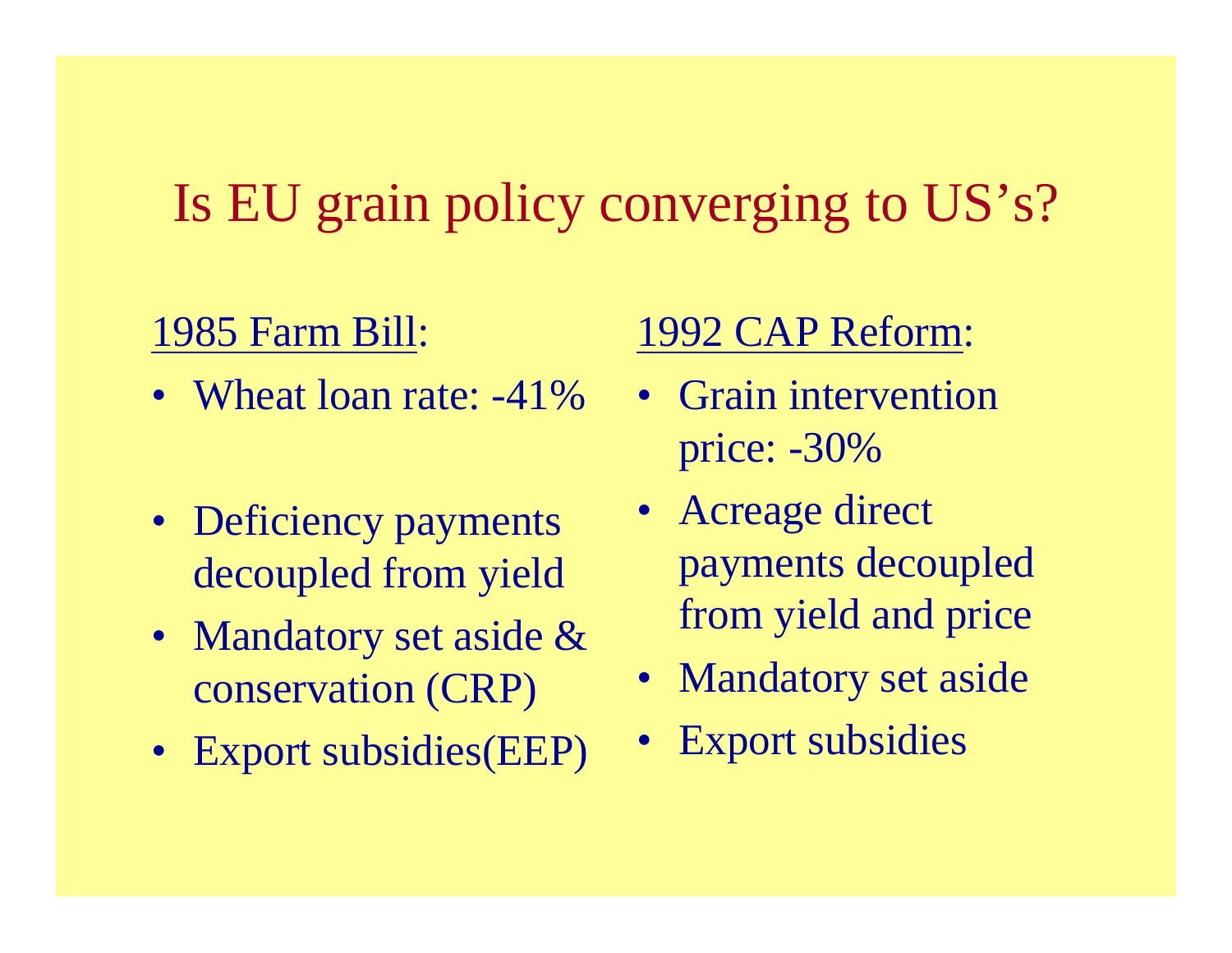### Is EU grain policy converging to US's?

#### 1985 Farm Bill:

- Wheat loan rate: -41%
- Deficiency payments decoupled from yield
- Mandatory set aside & conservation (CRP)
- Export subsidies (EEP)

#### 1992 CAP Reform:

- Grain intervention price: -30%
- Acreage direct payments decoupled from yield and price
- Mandatory set aside
- Export subsidies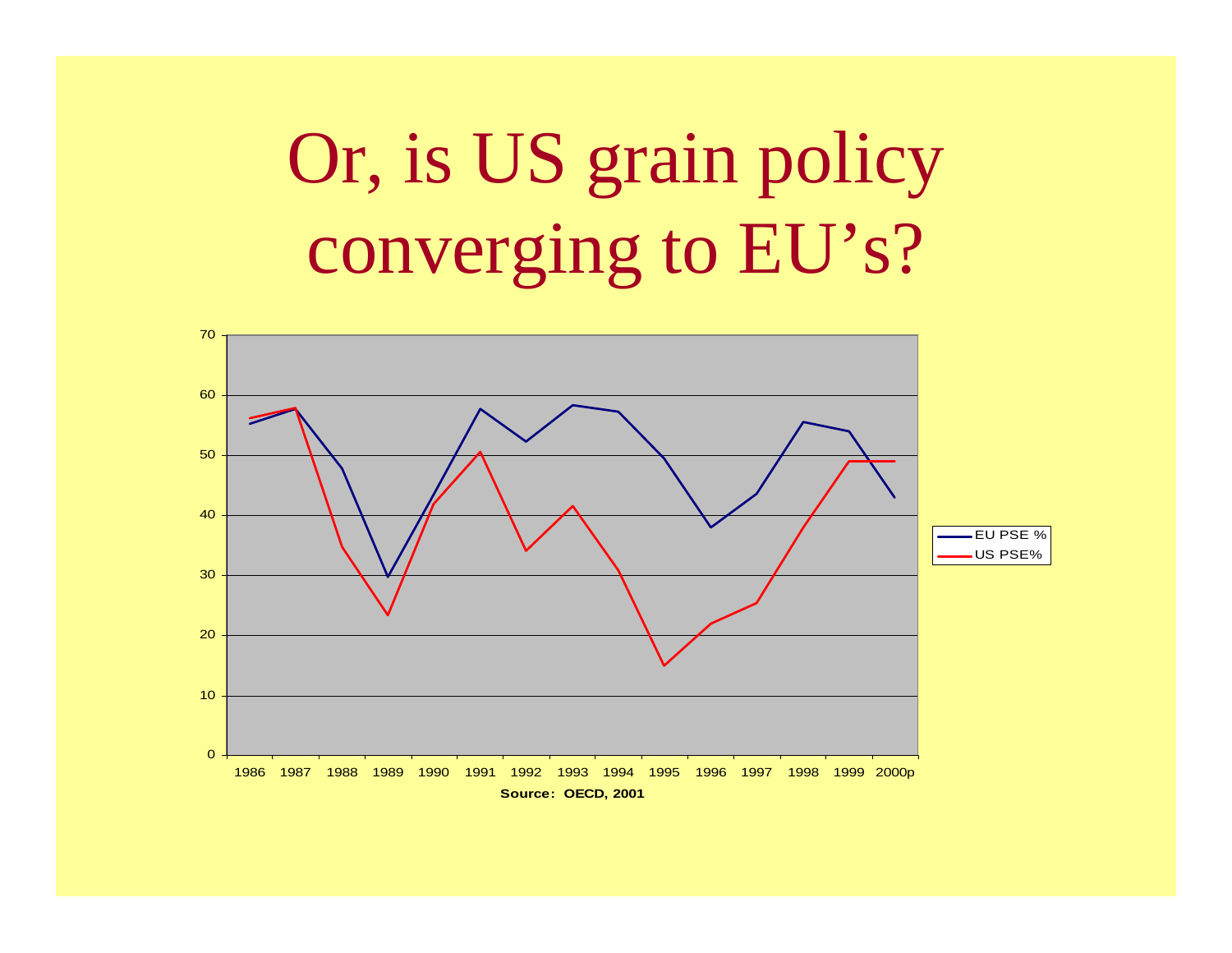# Or, is US grain policy converging to EU's?

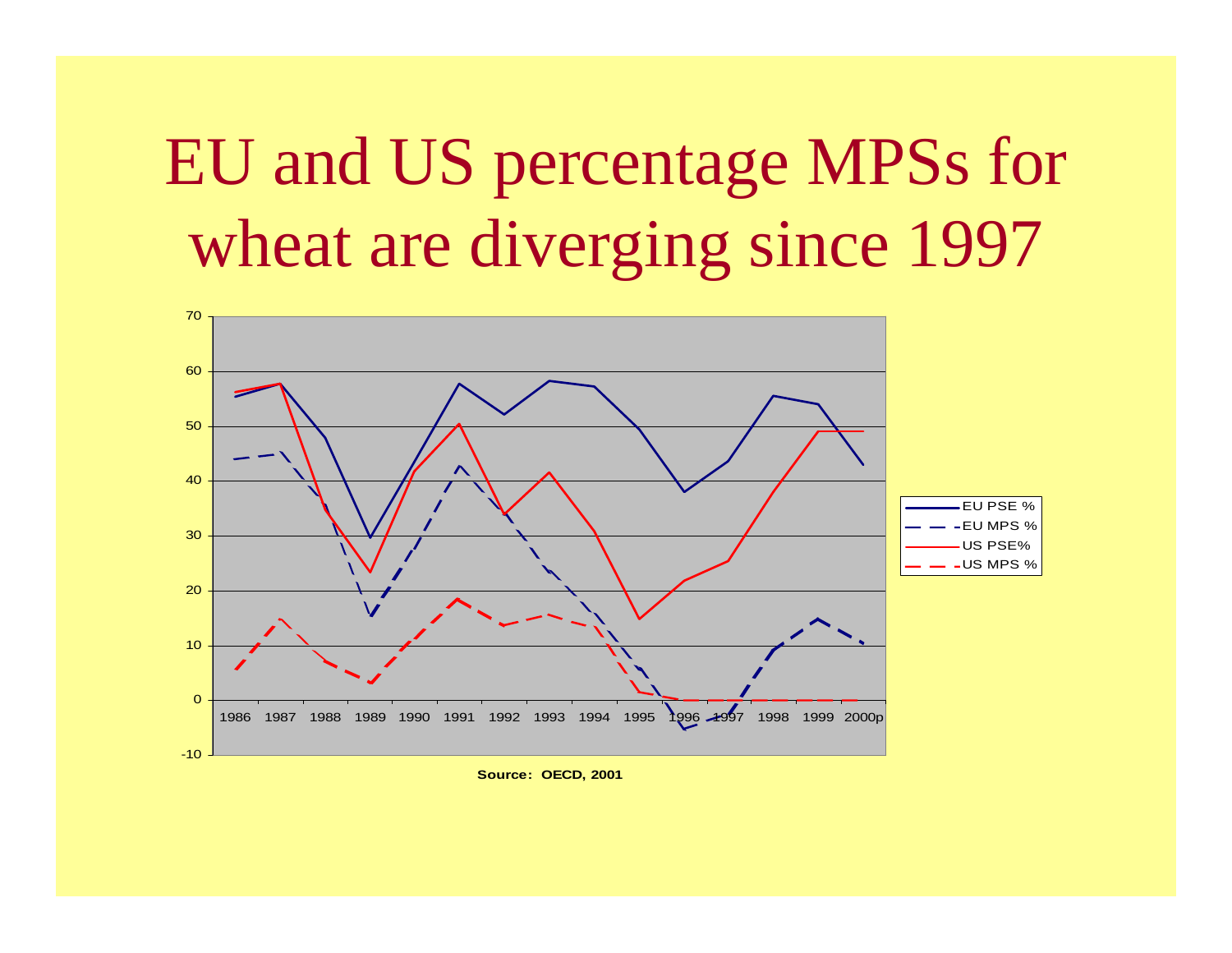## EU and US percentage MPSs for wheat are diverging since 1997



**Source: OECD, 2001**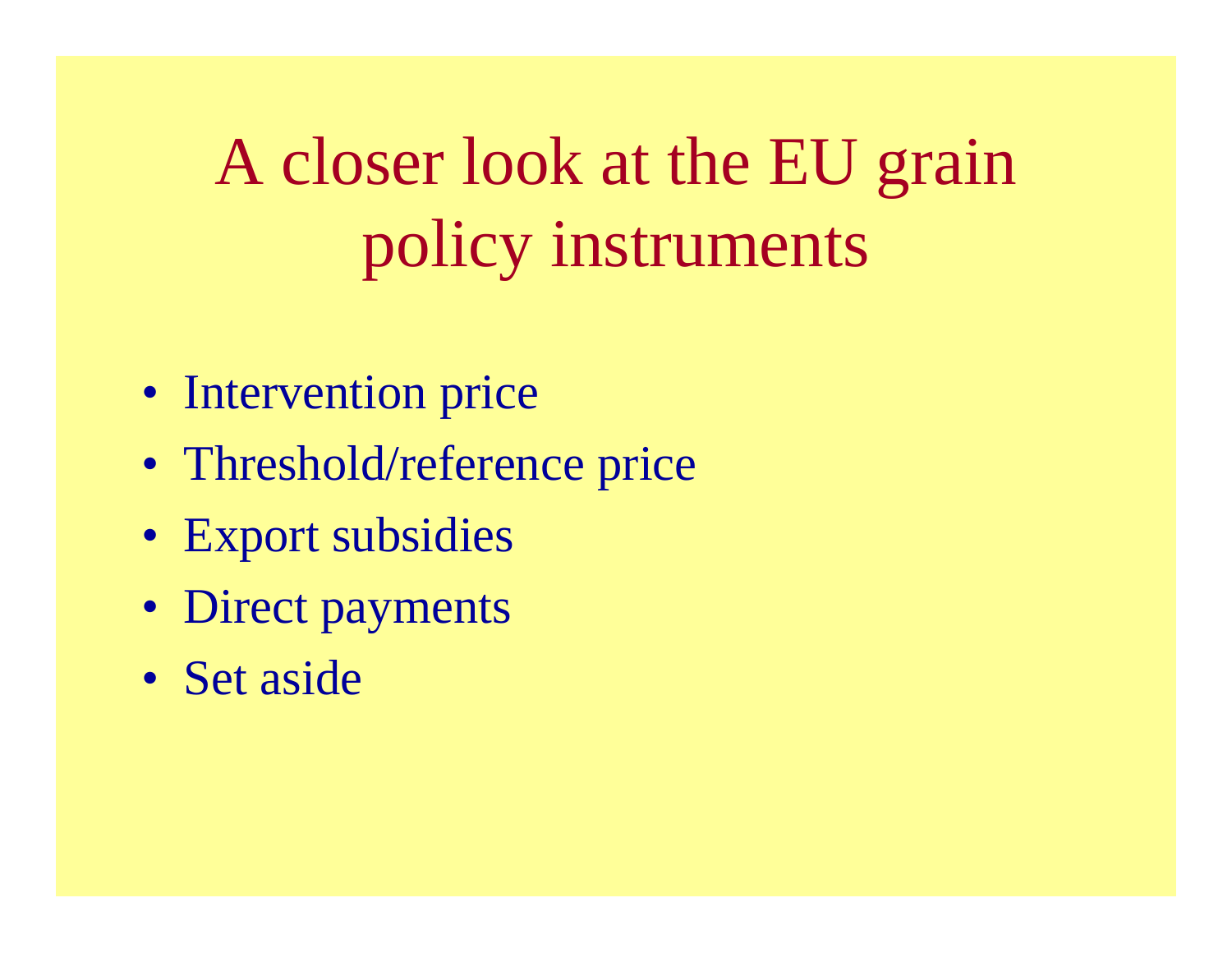# A closer look at the EU grain policy instruments

- Intervention price
- Threshold/reference price
- Export subsidies
- Direct payments
- Set aside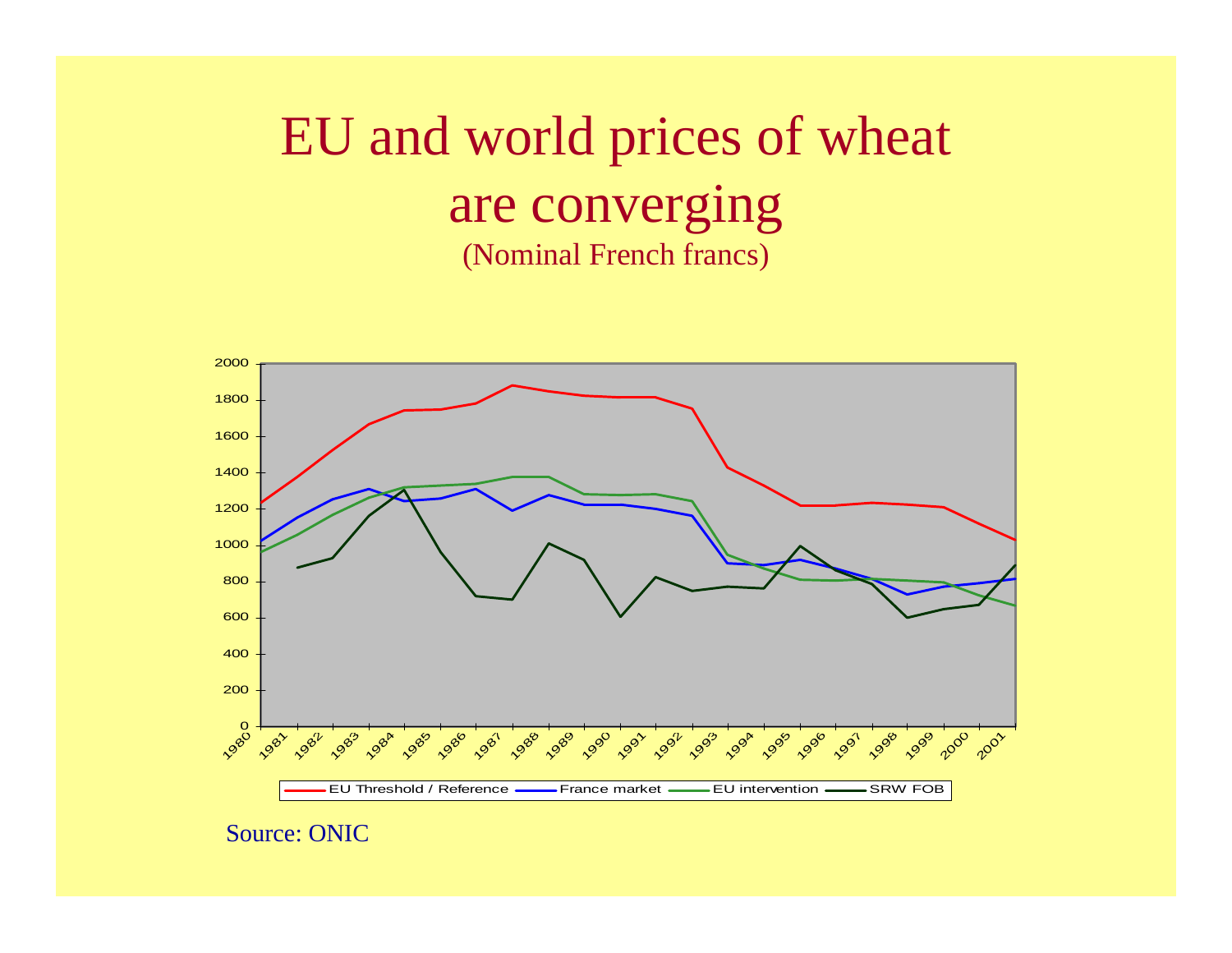### EU and world prices of wheat are converging (Nominal French francs)



Source: ONIC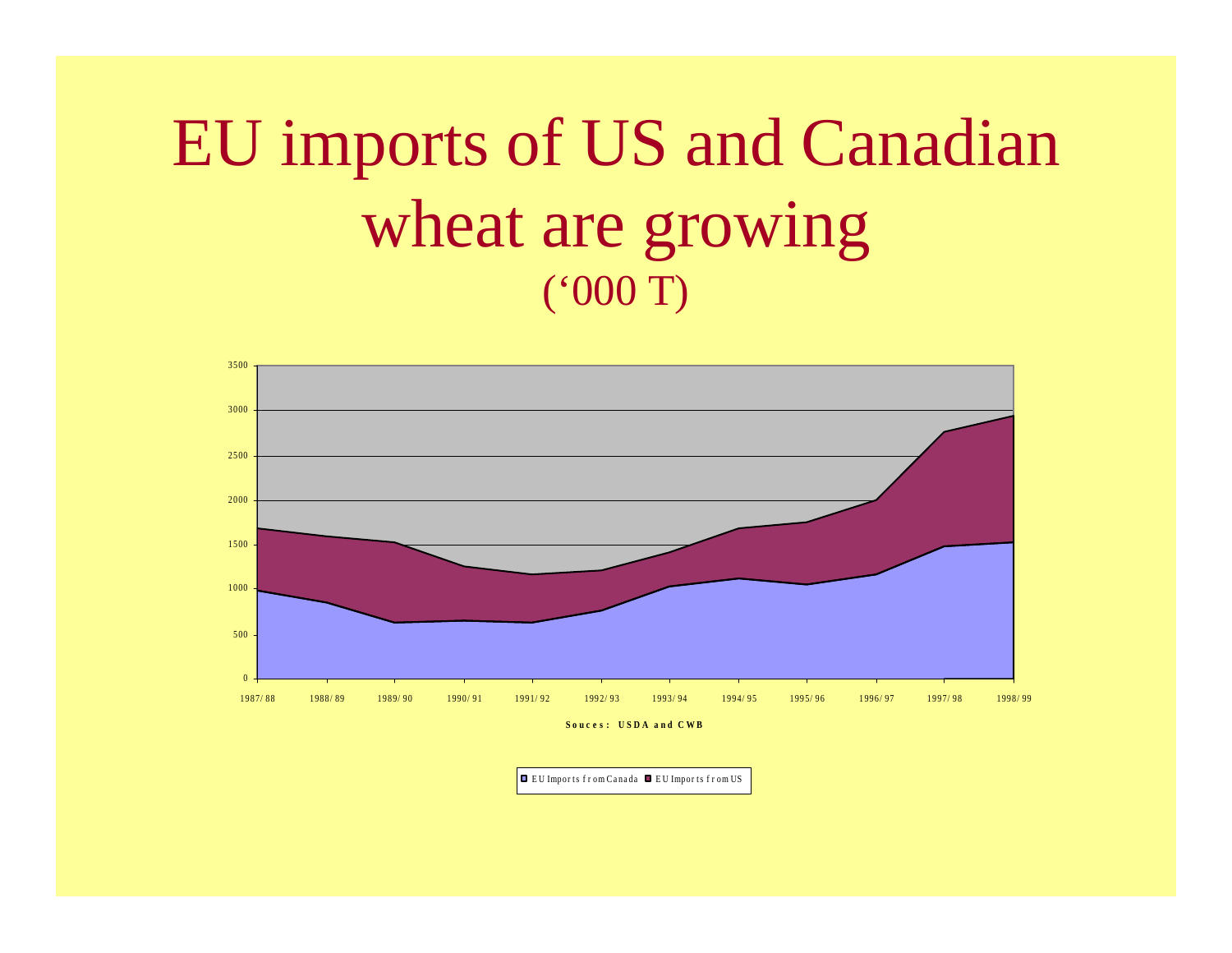## EU imports of US and Canadian wheat are growing ('000 T)



**Souces: USDA and CWB** 

 $\Box$  EU Imports from Canada  $\Box$  EU Imports from US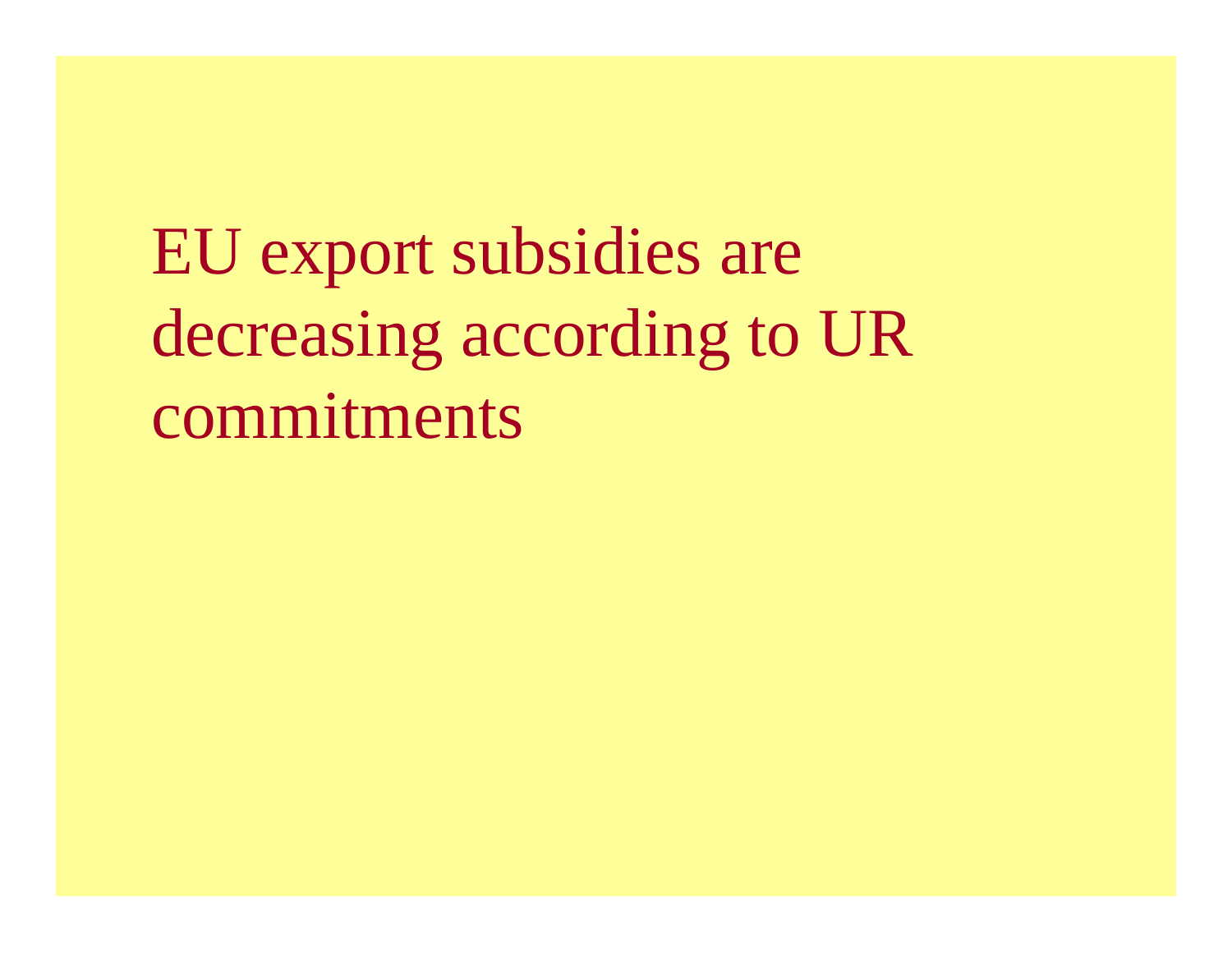EU export subsidies are decreasing according to UR commitments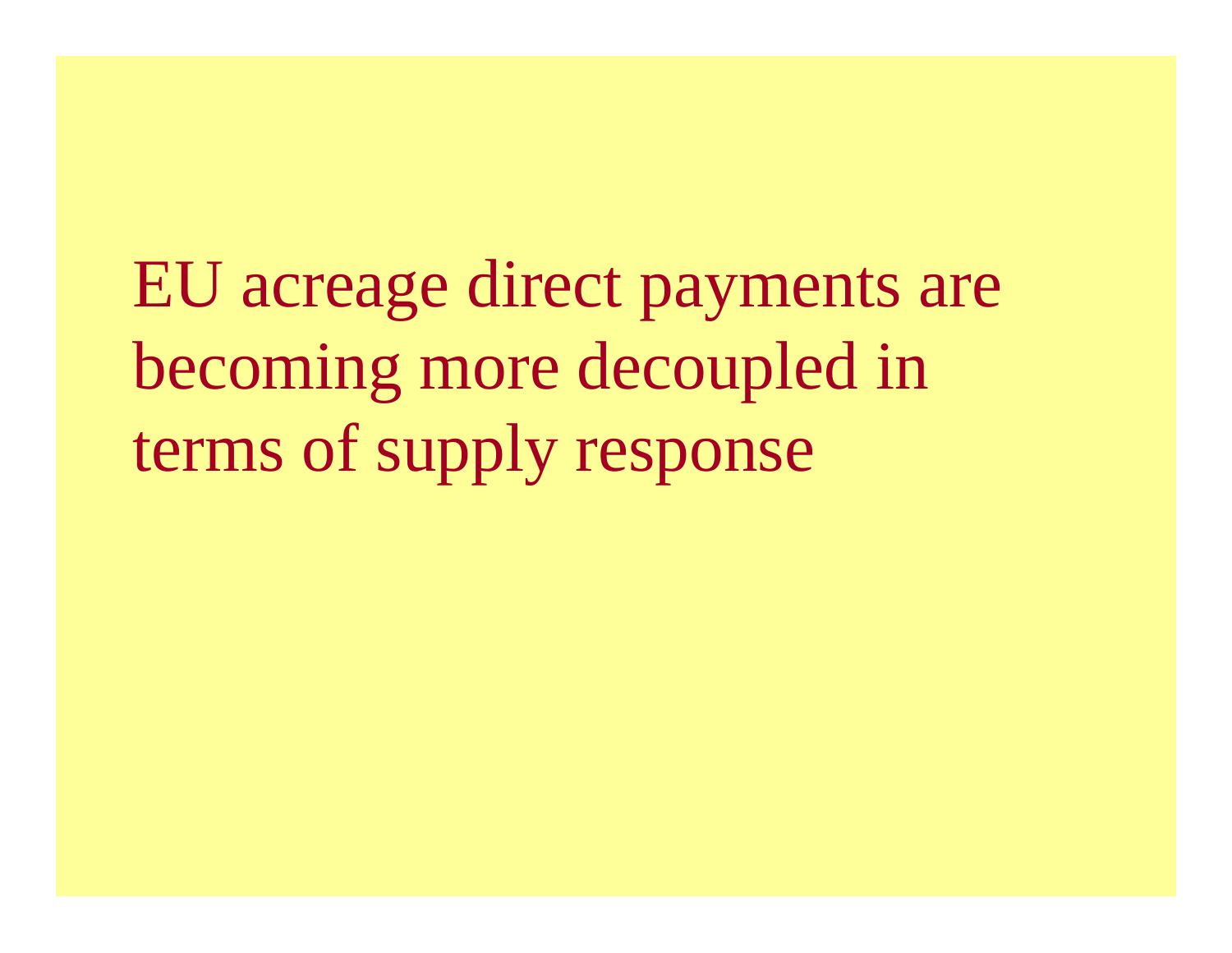EU acreage direct payments are becoming more decoupled in terms of supply response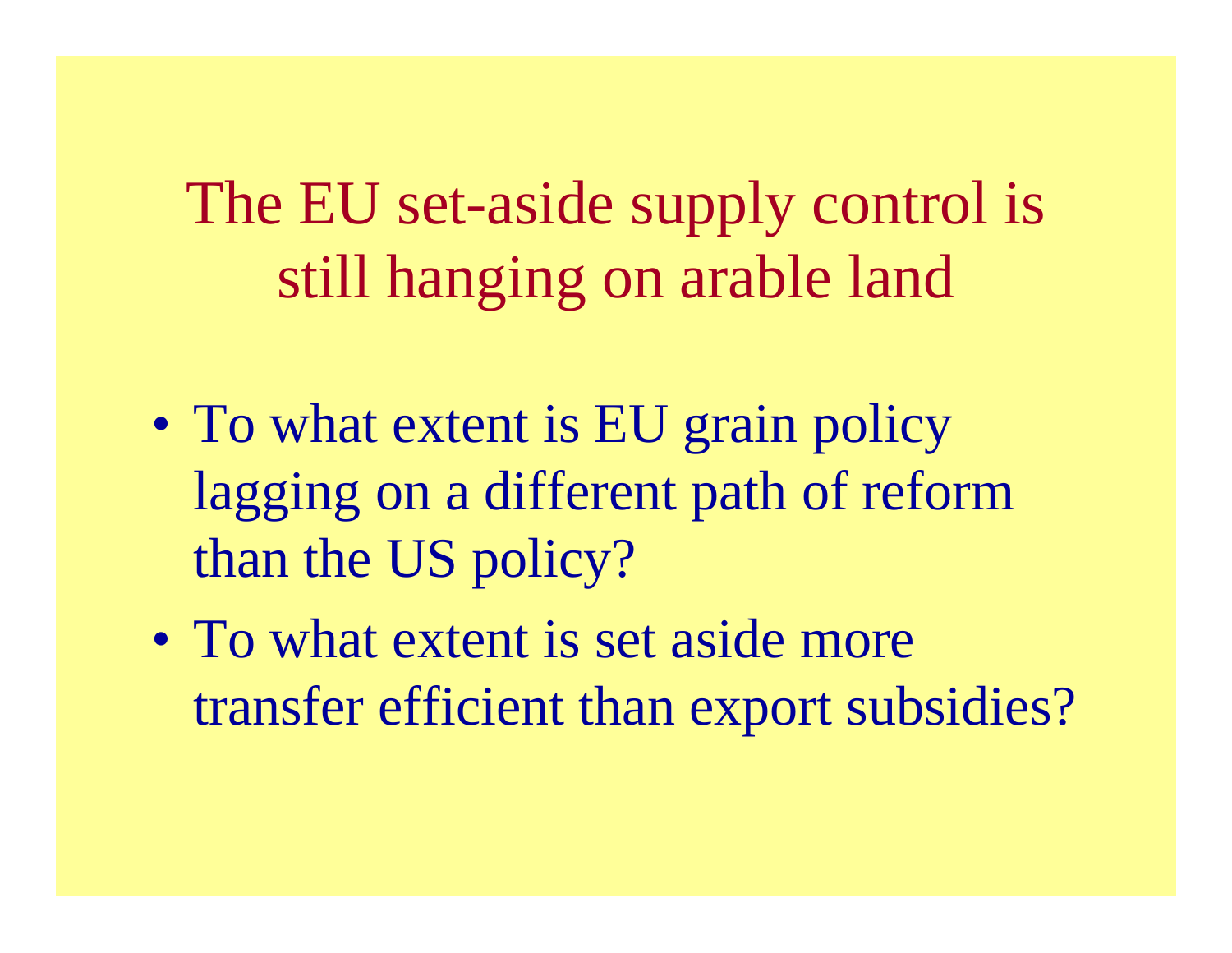The EU set-aside supply control is still hanging on arable land

- To what extent is EU grain policy lagging on a different path of reform than the US policy?
- To what extent is set aside more transfer efficient than export subsidies?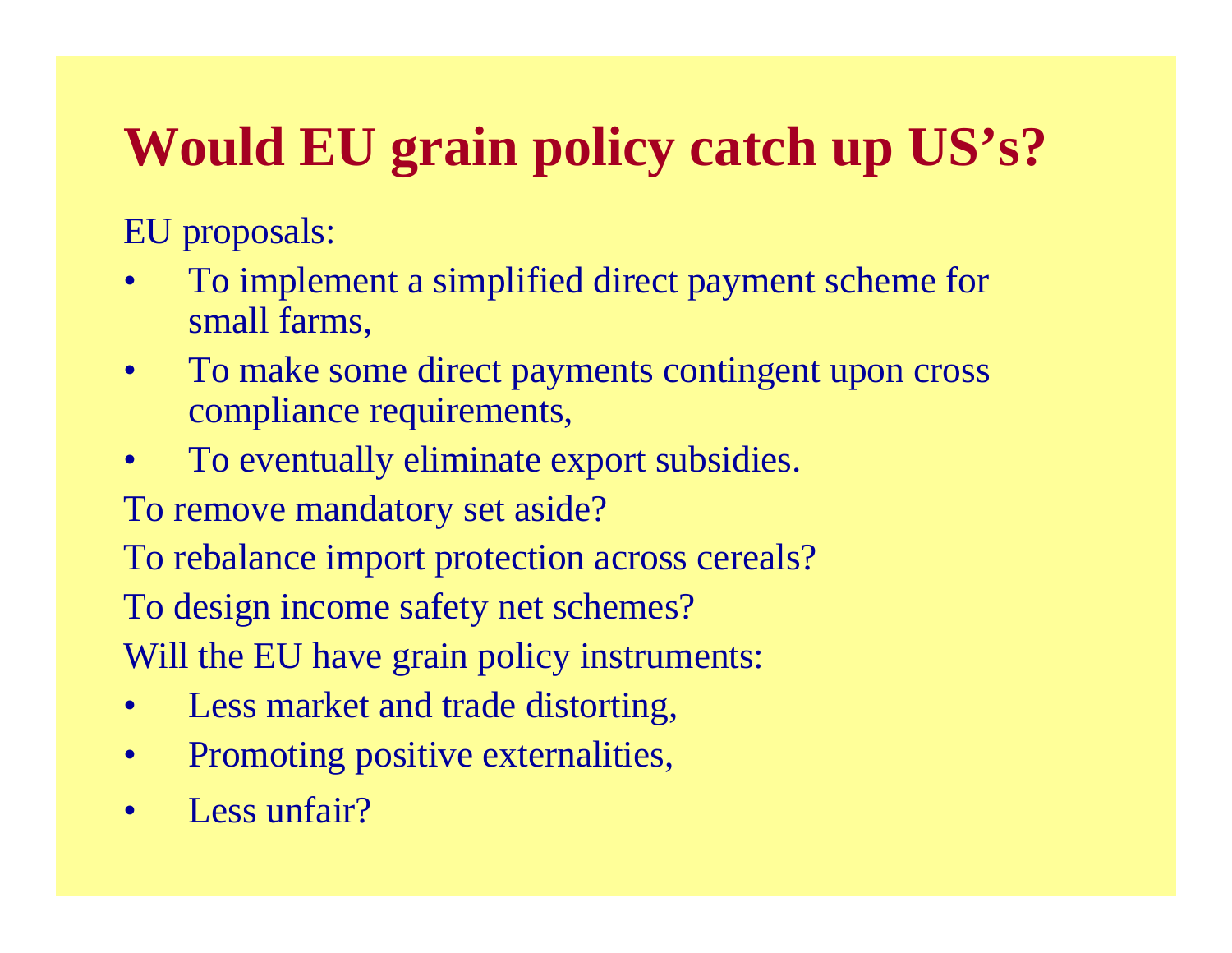### **Would EU grain policy catch up US's?**

EU proposals:

- To implement a simplified direct payment scheme for small farms,
- To make some direct payments contingent upon cross compliance requirements,
- To eventually eliminate export subsidies.

To remove mandatory set aside?

To rebalance import protection across cereals? To design income safety net schemes?

Will the EU have grain policy instruments:

- Less market and trade distorting,
- Promoting positive externalities,
- Less unfair?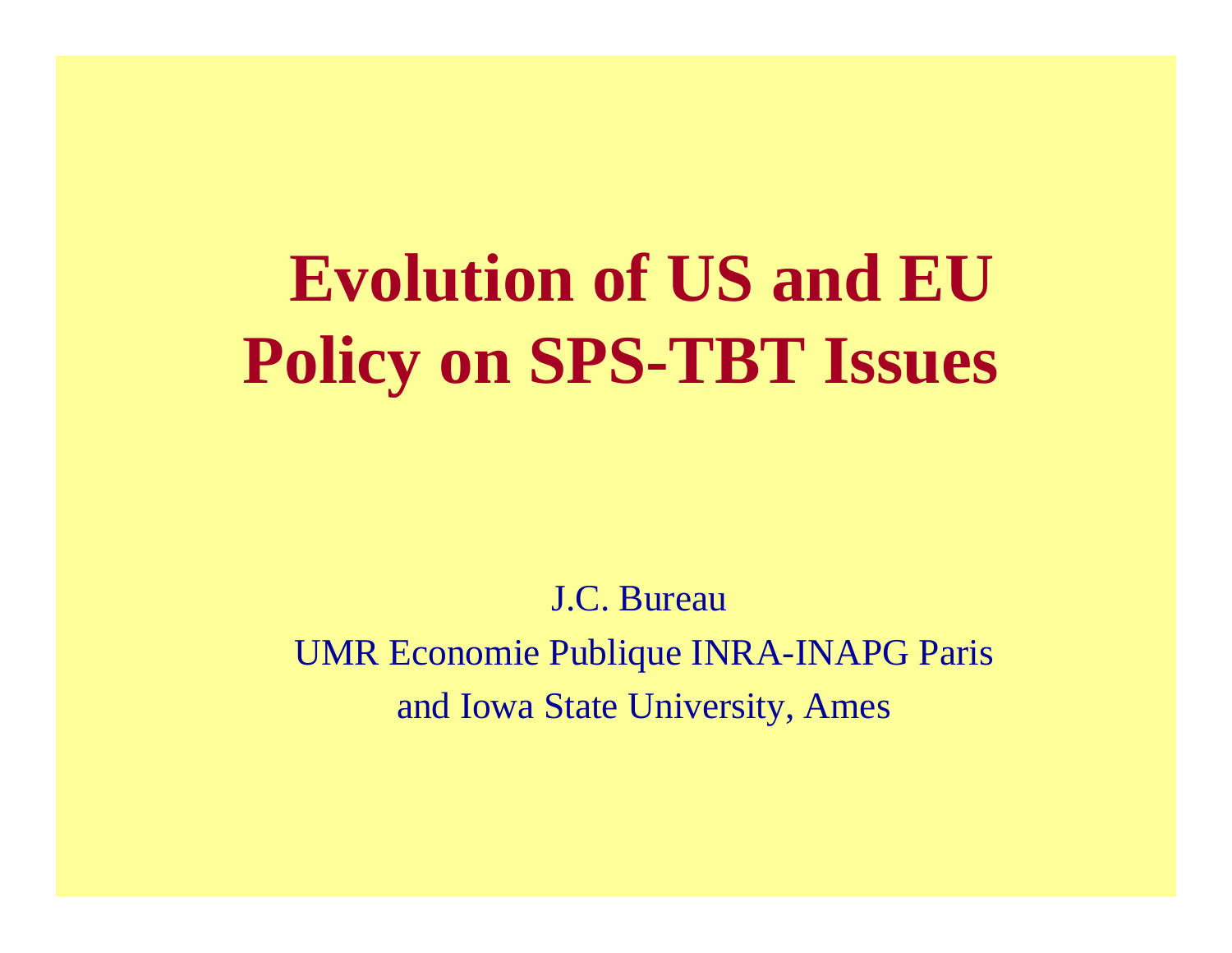# **Evolution of US and EU Policy on SPS-TBT Issues**

J.C. Bureau UMR Economie Publique INRA-INAPG Paris and Iowa State University, Ames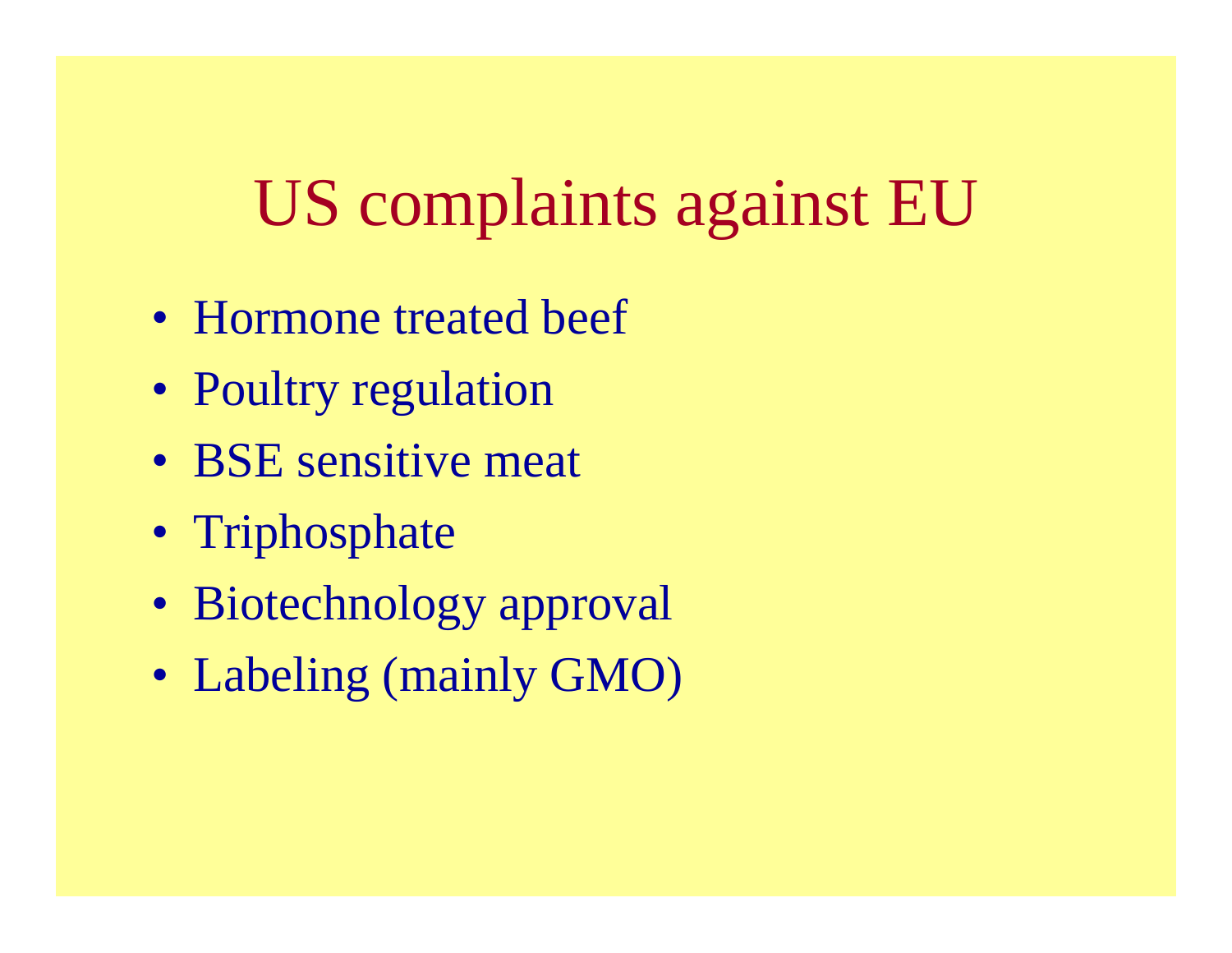## US complaints against EU

- Hormone treated beef
- Poultry regulation
- BSE sensitive meat
- Triphosphate
- Biotechnology approval
- Labeling (mainly GMO)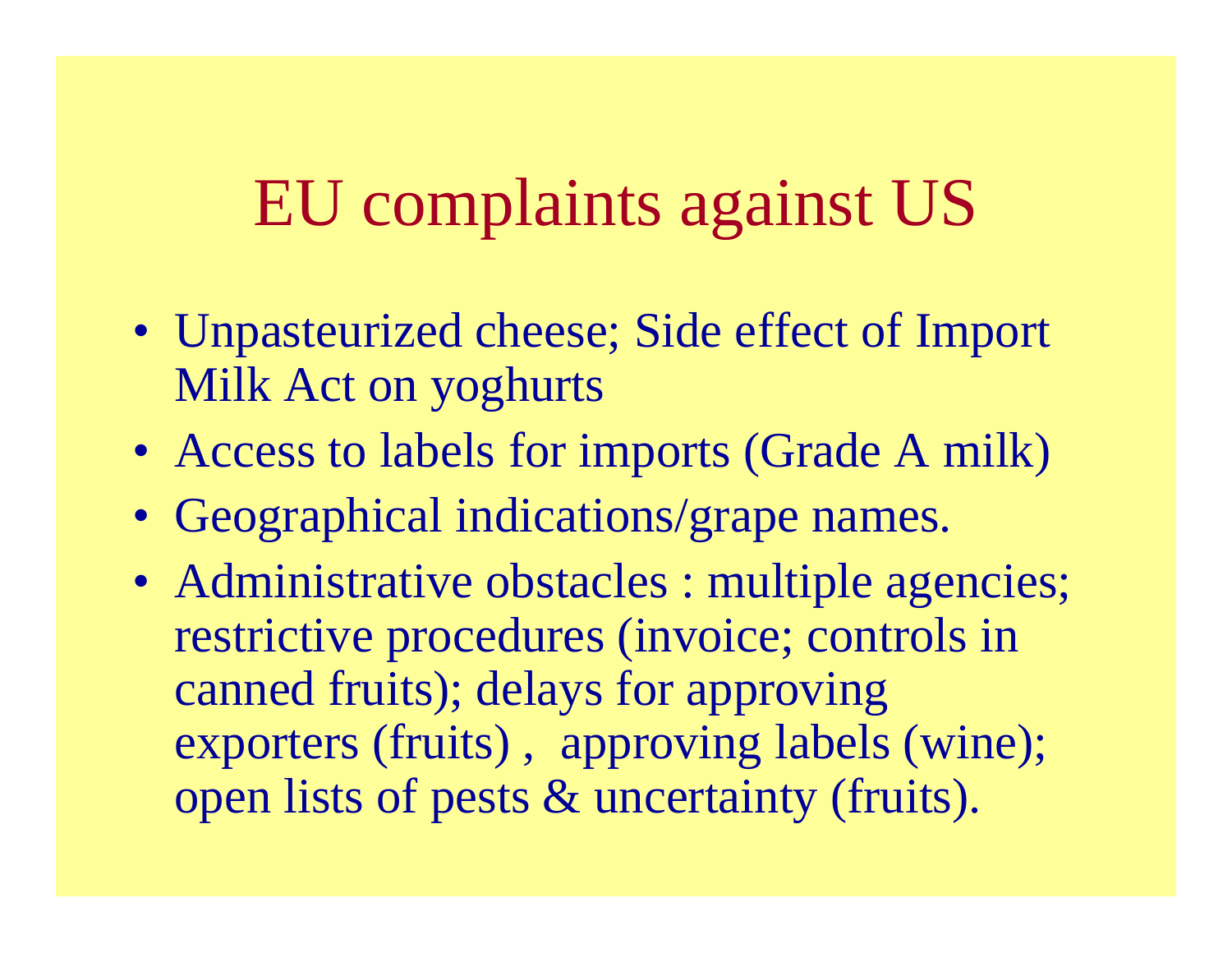### EU complaints against US

- Unpasteurized cheese; Side effect of Import Milk Act on yoghurts
- Access to labels for imports (Grade A milk)
- Geographical indications/grape names.
- Administrative obstacles : multiple agencies; restrictive procedures (invoice; controls in canned fruits); delays for approving exporters (fruits) , approving labels (wine); open lists of pests & uncertainty (fruits).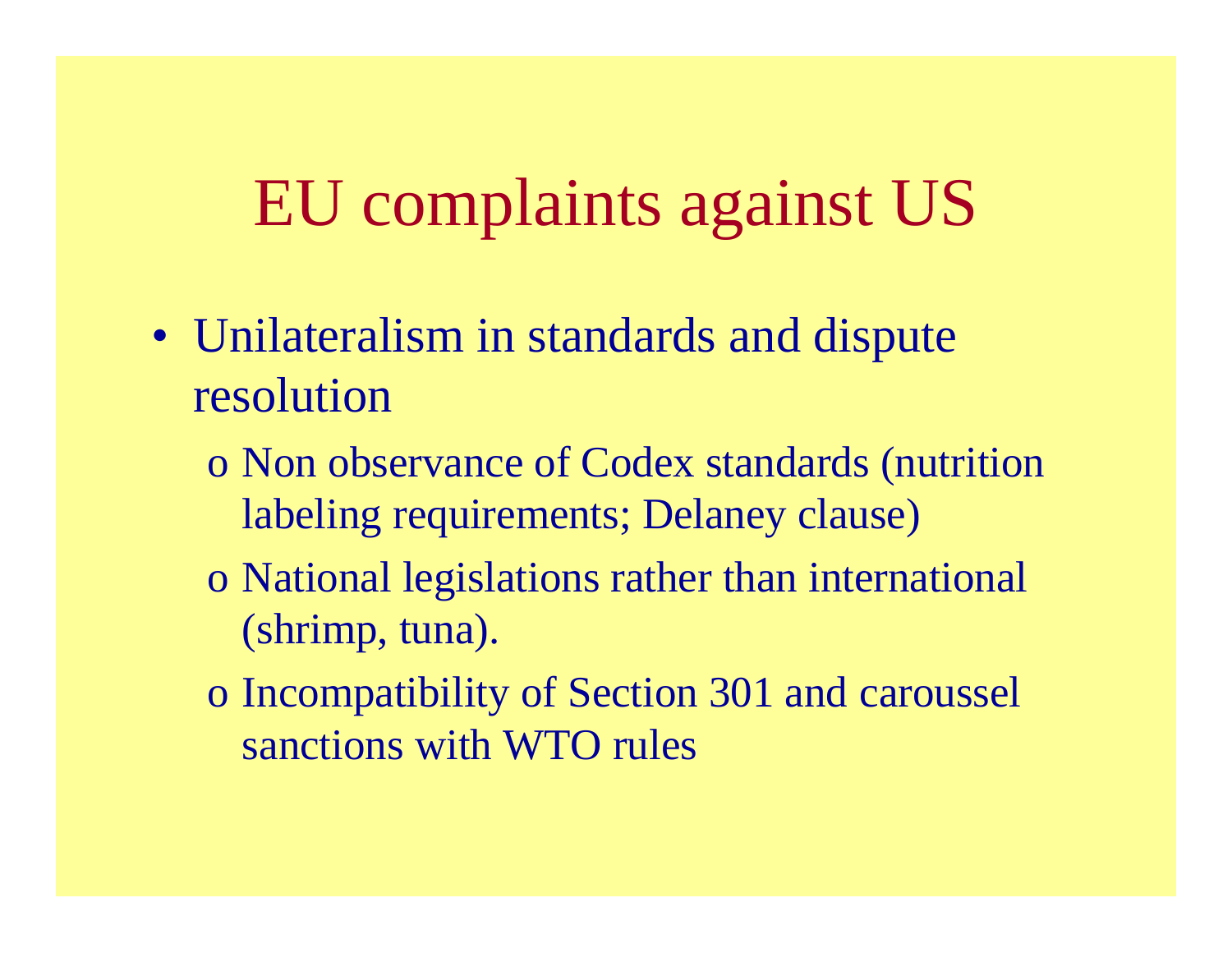## EU complaints against US

- Unilateralism in standards and dispute resolution
	- o Non observance of Codex standards (nutrition labeling requirements; Delaney clause)
	- o National legislations rather than international (shrimp, tuna).
	- o Incompatibility of Section 301 and caroussel sanctions with WTO rules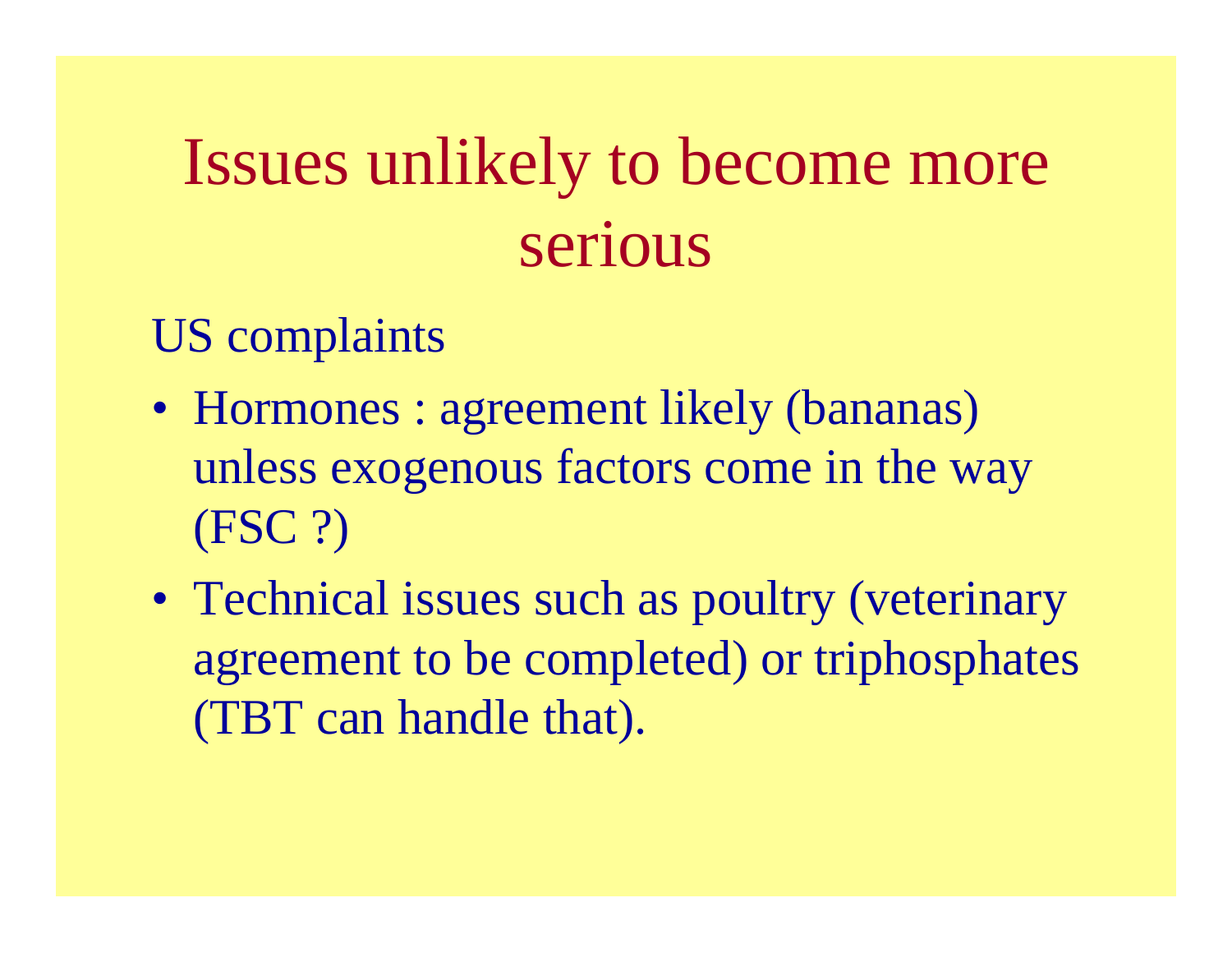## Issues unlikely to become more serious

### US complaints

- Hormones : agreement likely (bananas) unless exogenous factors come in the way (FSC ?)
- Technical issues such as poultry (veterinary agreement to be completed) or triphosphates (TBT can handle that).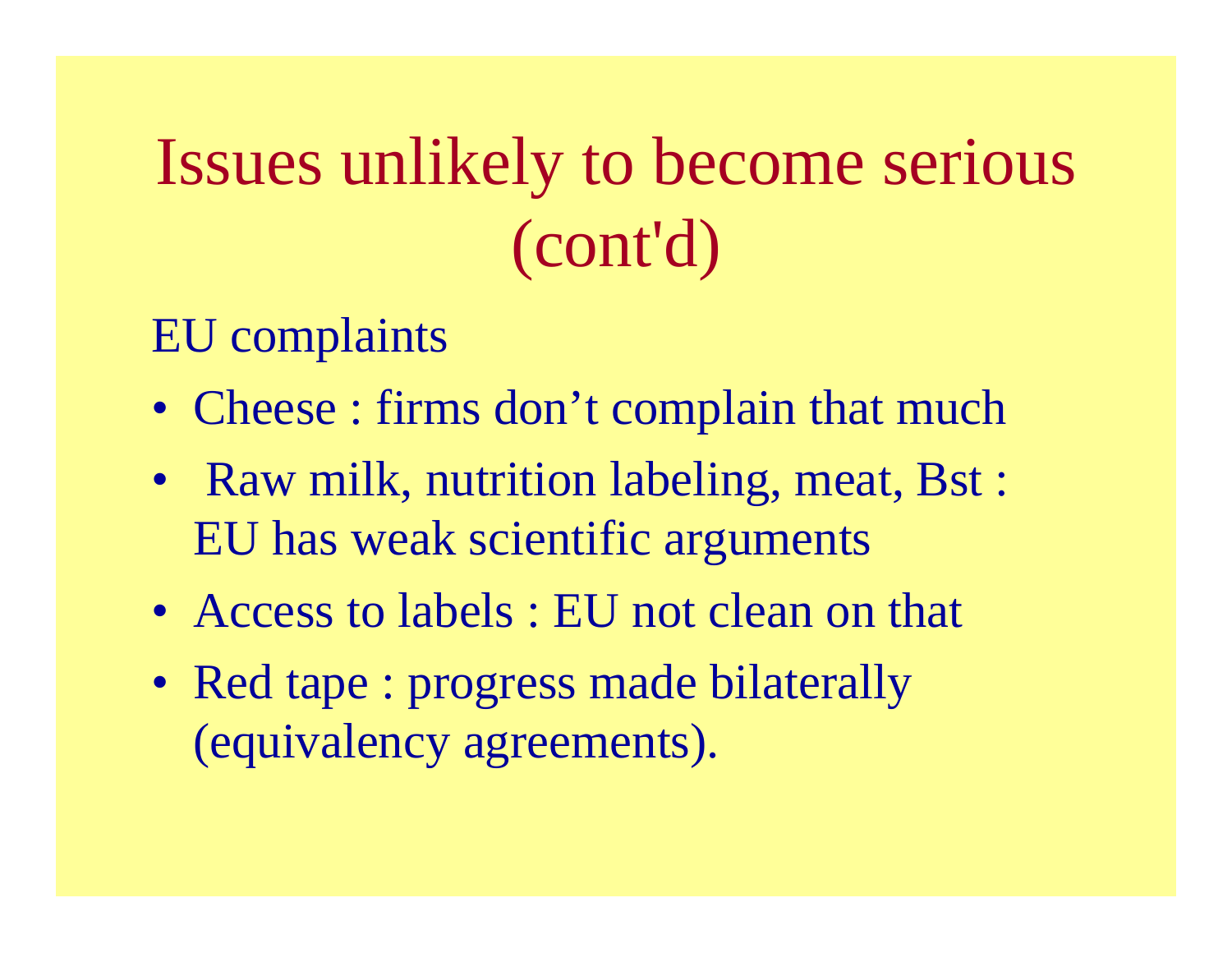# Issues unlikely to become serious (cont'd)

### EU complaints

- Cheese : firms don't complain that much
- Raw milk, nutrition labeling, meat, Bst : EU has weak scientific arguments
- Access to labels : EU not clean on that
- Red tape : progress made bilaterally (equivalency agreements).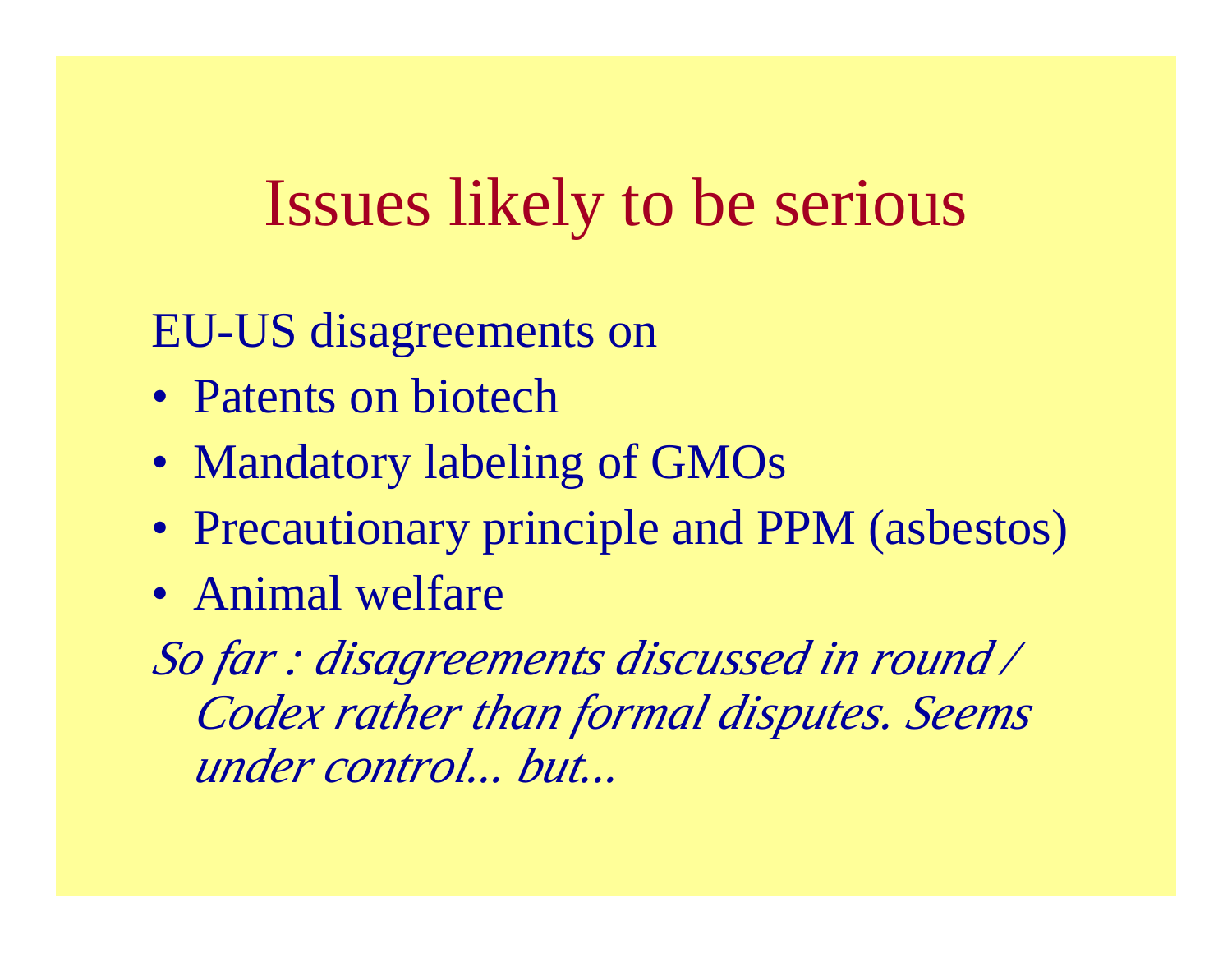### Issues likely to be serious

### EU-US disagreements on

- Patents on biotech
- Mandatory labeling of GMOs
- Precautionary principle and PPM (asbestos)
- Animal welfare

*So far : disagreements discussed in round / Codex rather than formal disputes. Seems under control... but...*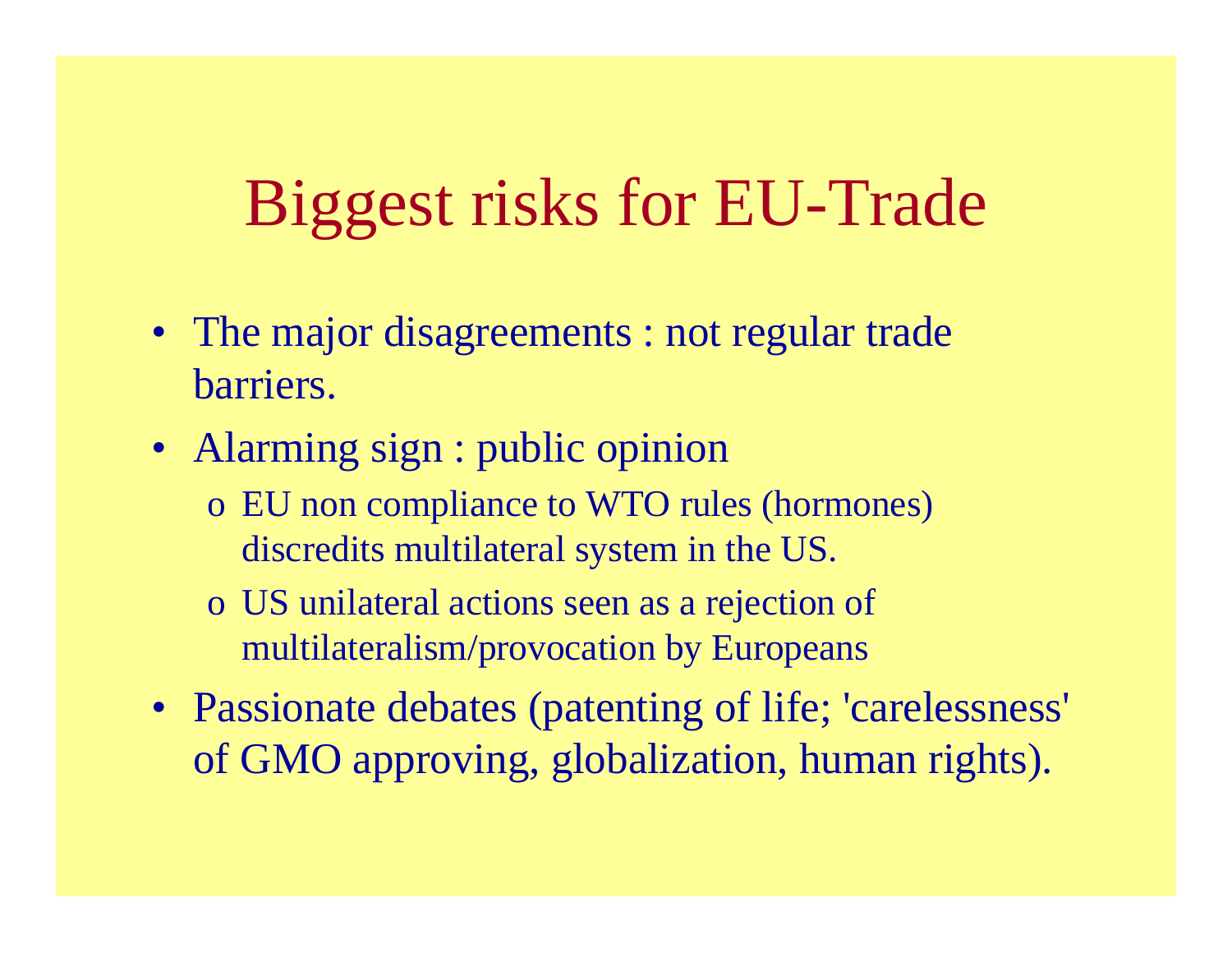## Biggest risks for EU-Trade

- The major disagreements : not regular trade barriers.
- Alarming sign : public opinion
	- o EU non compliance to WTO rules (hormones) discredits multilateral system in the US.
	- o US unilateral actions seen as a rejection of multilateralism/provocation by Europeans
- Passionate debates (patenting of life; 'carelessness' of GMO approving, globalization, human rights).